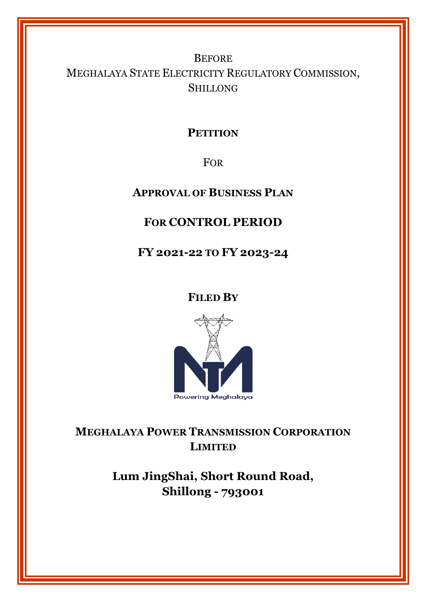# **BEFORE** MEGHALAYA STATE ELECTRICITY REGULATORY COMMISSION, SHILLONG

## **PETITION**

FOR

**APPROVAL OF BUSINESS PLAN**

## **FOR CONTROL PERIOD**

**FY 2021-22 TO FY 2023-24** 

**FILED BY**



**MEGHALAYA POWER TRANSMISSION CORPORATION LIMITED**

> **Lum JingShai, Short Round Road, Shillong - 793001**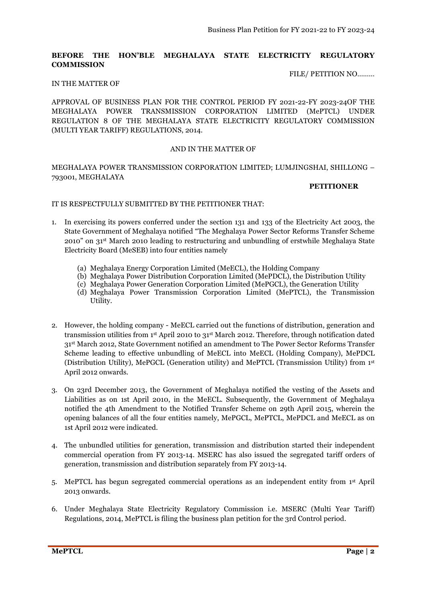#### **BEFORE THE HON'BLE MEGHALAYA STATE ELECTRICITY REGULATORY COMMISSION**

#### FILE/ PETITION NO………

#### IN THE MATTER OF

APPROVAL OF BUSINESS PLAN FOR THE CONTROL PERIOD FY 2021-22-FY 2023-24OF THE MEGHALAYA POWER TRANSMISSION CORPORATION LIMITED (MePTCL) UNDER REGULATION 8 OF THE MEGHALAYA STATE ELECTRICITY REGULATORY COMMISSION (MULTI YEAR TARIFF) REGULATIONS, 2014.

#### AND IN THE MATTER OF

### MEGHALAYA POWER TRANSMISSION CORPORATION LIMITED; LUMJINGSHAI, SHILLONG – 793001, MEGHALAYA

#### **PETITIONER**

#### IT IS RESPECTFULLY SUBMITTED BY THE PETITIONER THAT:

- 1. In exercising its powers conferred under the section 131 and 133 of the Electricity Act 2003, the State Government of Meghalaya notified "The Meghalaya Power Sector Reforms Transfer Scheme 2010" on 31st March 2010 leading to restructuring and unbundling of erstwhile Meghalaya State Electricity Board (MeSEB) into four entities namely
	- (a) Meghalaya Energy Corporation Limited (MeECL), the Holding Company
	- (b) Meghalaya Power Distribution Corporation Limited (MePDCL), the Distribution Utility
	- (c) Meghalaya Power Generation Corporation Limited (MePGCL), the Generation Utility
	- (d) Meghalaya Power Transmission Corporation Limited (MePTCL), the Transmission Utility.
- 2. However, the holding company MeECL carried out the functions of distribution, generation and transmission utilities from 1st April 2010 to 31st March 2012. Therefore, through notification dated 31st March 2012, State Government notified an amendment to The Power Sector Reforms Transfer Scheme leading to effective unbundling of MeECL into MeECL (Holding Company), MePDCL (Distribution Utility), MePGCL (Generation utility) and MePTCL (Transmission Utility) from 1st April 2012 onwards.
- 3. On 23rd December 2013, the Government of Meghalaya notified the vesting of the Assets and Liabilities as on 1st April 2010, in the MeECL. Subsequently, the Government of Meghalaya notified the 4th Amendment to the Notified Transfer Scheme on 29th April 2015, wherein the opening balances of all the four entities namely, MePGCL, MePTCL, MePDCL and MeECL as on 1st April 2012 were indicated.
- 4. The unbundled utilities for generation, transmission and distribution started their independent commercial operation from FY 2013-14. MSERC has also issued the segregated tariff orders of generation, transmission and distribution separately from FY 2013-14.
- 5. MePTCL has begun segregated commercial operations as an independent entity from 1st April 2013 onwards.
- 6. Under Meghalaya State Electricity Regulatory Commission i.e. MSERC (Multi Year Tariff) Regulations, 2014, MePTCL is filing the business plan petition for the 3rd Control period.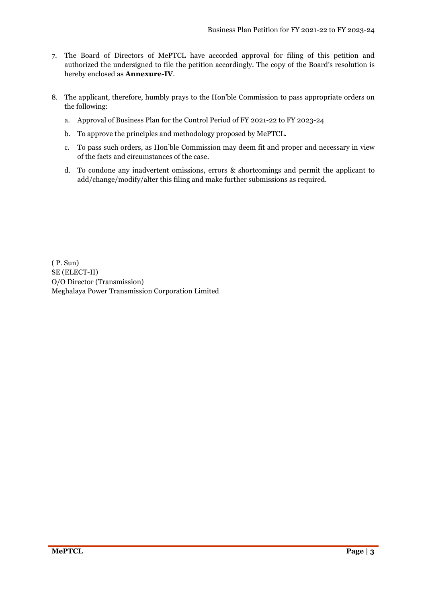- 7. The Board of Directors of MePTCL have accorded approval for filing of this petition and authorized the undersigned to file the petition accordingly. The copy of the Board's resolution is hereby enclosed as **Annexure-IV**.
- 8. The applicant, therefore, humbly prays to the Hon'ble Commission to pass appropriate orders on the following:
	- a. Approval of Business Plan for the Control Period of FY 2021-22 to FY 2023-24
	- b. To approve the principles and methodology proposed by MePTCL.
	- c. To pass such orders, as Hon'ble Commission may deem fit and proper and necessary in view of the facts and circumstances of the case.
	- d. To condone any inadvertent omissions, errors & shortcomings and permit the applicant to add/change/modify/alter this filing and make further submissions as required.

( P. Sun) SE (ELECT-II) O/O Director (Transmission) Meghalaya Power Transmission Corporation Limited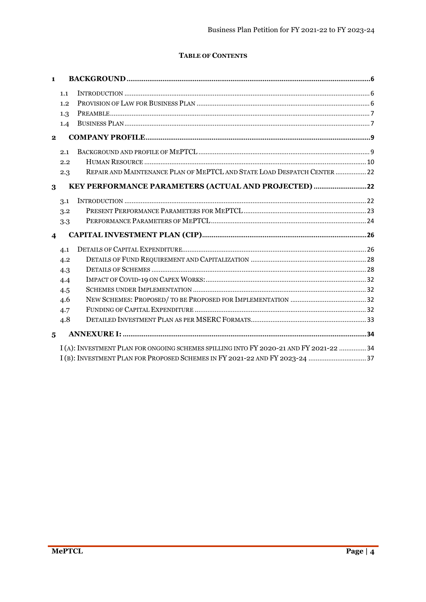### **TABLE OF CONTENTS**

| $\mathbf{1}$            |     |                                                                                        |  |
|-------------------------|-----|----------------------------------------------------------------------------------------|--|
|                         | 1.1 |                                                                                        |  |
|                         | 1.2 |                                                                                        |  |
|                         | 1.3 |                                                                                        |  |
|                         | 1.4 |                                                                                        |  |
| $\mathbf{2}$            |     |                                                                                        |  |
|                         | 2.1 |                                                                                        |  |
|                         | 2.2 |                                                                                        |  |
|                         | 2.3 | REPAIR AND MAINTENANCE PLAN OF MEPTCL AND STATE LOAD DESPATCH CENTER  22               |  |
| 3                       |     | KEY PERFORMANCE PARAMETERS (ACTUAL AND PROJECTED) 22                                   |  |
|                         | 3.1 |                                                                                        |  |
|                         | 3.2 |                                                                                        |  |
|                         | 3.3 |                                                                                        |  |
| $\overline{\mathbf{4}}$ |     |                                                                                        |  |
|                         | 4.1 |                                                                                        |  |
|                         | 4.2 |                                                                                        |  |
|                         | 4.3 |                                                                                        |  |
|                         | 4.4 |                                                                                        |  |
|                         | 4.5 |                                                                                        |  |
|                         | 4.6 |                                                                                        |  |
|                         | 4.7 |                                                                                        |  |
|                         | 4.8 |                                                                                        |  |
| 5                       |     |                                                                                        |  |
|                         |     | I (A): INVESTMENT PLAN FOR ONGOING SCHEMES SPILLING INTO FY 2020-21 AND FY 2021-22  34 |  |
|                         |     | I(B): INVESTMENT PLAN FOR PROPOSED SCHEMES IN FY 2021-22 AND FY 2023-24 37             |  |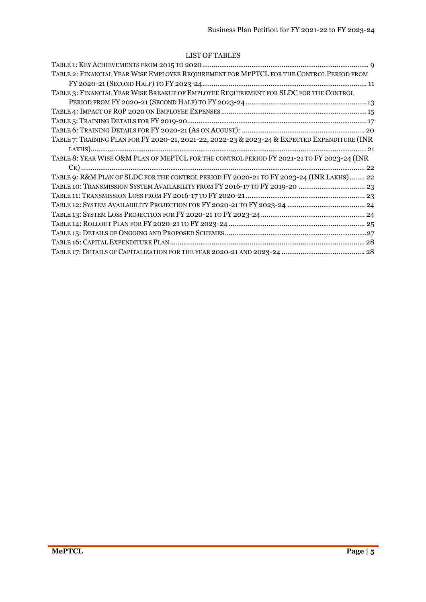### LIST OF TABLES

| TABLE 2: FINANCIAL YEAR WISE EMPLOYEE REQUIREMENT FOR MEPTCL FOR THE CONTROL PERIOD FROM      |
|-----------------------------------------------------------------------------------------------|
|                                                                                               |
| TABLE 3: FINANCIAL YEAR WISE BREAKUP OF EMPLOYEE REQUIREMENT FOR SLDC FOR THE CONTROL         |
|                                                                                               |
|                                                                                               |
|                                                                                               |
|                                                                                               |
| TABLE 7: TRAINING PLAN FOR FY 2020-21, 2021-22, 2022-23 & 2023-24 & EXPECTED EXPENDITURE (INR |
|                                                                                               |
| TABLE 8: YEAR WISE O&M PLAN OF MEPTCL FOR THE CONTROL PERIOD FY 2021-21 TO FY 2023-24 (INR    |
|                                                                                               |
| TABLE 9: R&M PLAN OF SLDC FOR THE CONTROL PERIOD FY 2020-21 TO FY 2023-24 (INR LAKHS)  22     |
| TABLE 10: TRANSMISSION SYSTEM AVAILABILITY FROM FY 2016-17 TO FY 2019-20  23                  |
|                                                                                               |
|                                                                                               |
|                                                                                               |
|                                                                                               |
|                                                                                               |
|                                                                                               |
|                                                                                               |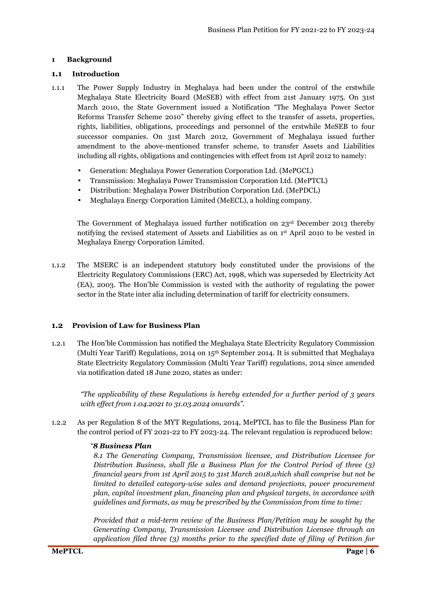#### **1 Background**

#### **1.1 Introduction**

- 1.1.1 The Power Supply Industry in Meghalaya had been under the control of the erstwhile Meghalaya State Electricity Board (MeSEB) with effect from 21st January 1975. On 31st March 2010, the State Government issued a Notification "The Meghalaya Power Sector Reforms Transfer Scheme 2010" thereby giving effect to the transfer of assets, properties, rights, liabilities, obligations, proceedings and personnel of the erstwhile MeSEB to four successor companies. On 31st March 2012, Government of Meghalaya issued further amendment to the above-mentioned transfer scheme, to transfer Assets and Liabilities including all rights, obligations and contingencies with effect from 1st April 2012 to namely:
	- Generation: Meghalaya Power Generation Corporation Ltd. (MePGCL)
	- Transmission: Meghalaya Power Transmission Corporation Ltd. (MePTCL)
	- Distribution: Meghalaya Power Distribution Corporation Ltd. (MePDCL)
	- Meghalaya Energy Corporation Limited (MeECL), a holding company.

The Government of Meghalaya issued further notification on 23rd December 2013 thereby notifying the revised statement of Assets and Liabilities as on 1st April 2010 to be vested in Meghalaya Energy Corporation Limited.

1.1.2 The MSERC is an independent statutory body constituted under the provisions of the Electricity Regulatory Commissions (ERC) Act, 1998, which was superseded by Electricity Act (EA), 2003. The Hon'ble Commission is vested with the authority of regulating the power sector in the State inter alia including determination of tariff for electricity consumers.

### **1.2 Provision of Law for Business Plan**

1.2.1 The Hon'ble Commission has notified the Meghalaya State Electricity Regulatory Commission (Multi Year Tariff) Regulations, 2014 on 15th September 2014. It is submitted that Meghalaya State Electricity Regulatory Commission (Multi Year Tariff) regulations, 2014 since amended via notification dated 18 June 2020, states as under:

*"The applicability of these Regulations is hereby extended for a further period of 3 years with effect from 1.04.2021 to 31.03.2024 onwards".* 

1.2.2 As per Regulation 8 of the MYT Regulations, 2014, MePTCL has to file the Business Plan for the control period of FY 2021-22 to FY 2023-24. The relevant regulation is reproduced below:

### *"8 Business Plan*

*8.1 The Generating Company, Transmission licensee, and Distribution Licensee for Distribution Business, shall file a Business Plan for the Control Period of three (3) financial years from 1st April 2015 to 31st March 2018,which shall comprise but not be limited to detailed category-wise sales and demand projections, power procurement plan, capital investment plan, financing plan and physical targets, in accordance with guidelines and formats, as may be prescribed by the Commission from time to time:* 

*Provided that a mid-term review of the Business Plan/Petition may be sought by the Generating Company, Transmission Licensee and Distribution Licensee through an application filed three (3) months prior to the specified date of filing of Petition for*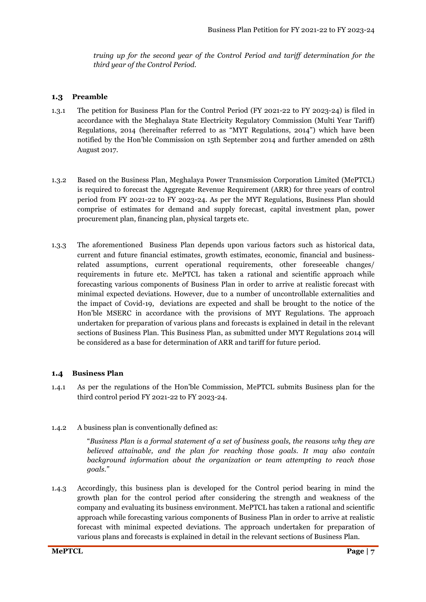*truing up for the second year of the Control Period and tariff determination for the third year of the Control Period.* 

### **1.3 Preamble**

- 1.3.1 The petition for Business Plan for the Control Period (FY 2021-22 to FY 2023-24) is filed in accordance with the Meghalaya State Electricity Regulatory Commission (Multi Year Tariff) Regulations, 2014 (hereinafter referred to as "MYT Regulations, 2014") which have been notified by the Hon'ble Commission on 15th September 2014 and further amended on 28th August 2017.
- 1.3.2 Based on the Business Plan, Meghalaya Power Transmission Corporation Limited (MePTCL) is required to forecast the Aggregate Revenue Requirement (ARR) for three years of control period from FY 2021-22 to FY 2023-24. As per the MYT Regulations, Business Plan should comprise of estimates for demand and supply forecast, capital investment plan, power procurement plan, financing plan, physical targets etc.
- 1.3.3 The aforementioned Business Plan depends upon various factors such as historical data, current and future financial estimates, growth estimates, economic, financial and businessrelated assumptions, current operational requirements, other foreseeable changes/ requirements in future etc. MePTCL has taken a rational and scientific approach while forecasting various components of Business Plan in order to arrive at realistic forecast with minimal expected deviations. However, due to a number of uncontrollable externalities and the impact of Covid-19, deviations are expected and shall be brought to the notice of the Hon'ble MSERC in accordance with the provisions of MYT Regulations. The approach undertaken for preparation of various plans and forecasts is explained in detail in the relevant sections of Business Plan. This Business Plan, as submitted under MYT Regulations 2014 will be considered as a base for determination of ARR and tariff for future period.

#### **1.4 Business Plan**

1.4.1 As per the regulations of the Hon'ble Commission, MePTCL submits Business plan for the third control period FY 2021-22 to FY 2023-24.

#### 1.4.2 A business plan is conventionally defined as:

"*Business Plan is a formal statement of a set of business goals, the reasons why they are believed attainable, and the plan for reaching those goals. It may also contain background information about the organization or team attempting to reach those goals."* 

1.4.3 Accordingly, this business plan is developed for the Control period bearing in mind the growth plan for the control period after considering the strength and weakness of the company and evaluating its business environment. MePTCL has taken a rational and scientific approach while forecasting various components of Business Plan in order to arrive at realistic forecast with minimal expected deviations. The approach undertaken for preparation of various plans and forecasts is explained in detail in the relevant sections of Business Plan.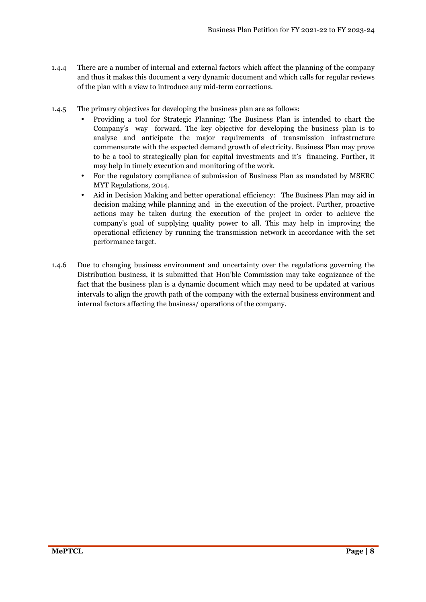- 1.4.4 There are a number of internal and external factors which affect the planning of the company and thus it makes this document a very dynamic document and which calls for regular reviews of the plan with a view to introduce any mid-term corrections.
- 1.4.5 The primary objectives for developing the business plan are as follows:
	- Providing a tool for Strategic Planning: The Business Plan is intended to chart the Company's way forward. The key objective for developing the business plan is to analyse and anticipate the major requirements of transmission infrastructure commensurate with the expected demand growth of electricity. Business Plan may prove to be a tool to strategically plan for capital investments and it's financing. Further, it may help in timely execution and monitoring of the work.
	- For the regulatory compliance of submission of Business Plan as mandated by MSERC MYT Regulations, 2014.
	- Aid in Decision Making and better operational efficiency: The Business Plan may aid in decision making while planning and in the execution of the project. Further, proactive actions may be taken during the execution of the project in order to achieve the company's goal of supplying quality power to all. This may help in improving the operational efficiency by running the transmission network in accordance with the set performance target.
- 1.4.6 Due to changing business environment and uncertainty over the regulations governing the Distribution business, it is submitted that Hon'ble Commission may take cognizance of the fact that the business plan is a dynamic document which may need to be updated at various intervals to align the growth path of the company with the external business environment and internal factors affecting the business/ operations of the company.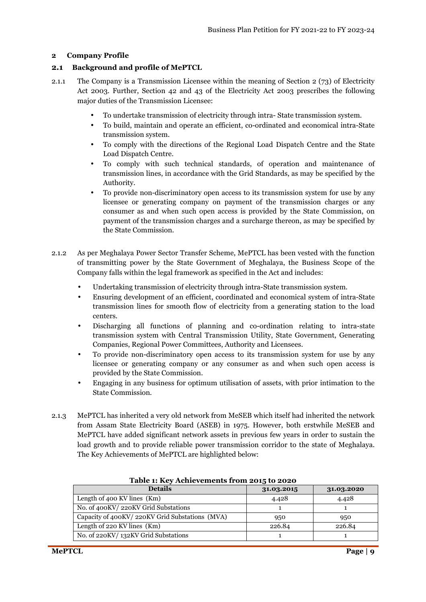#### **2 Company Profile**

#### **2.1 Background and profile of MePTCL**

- 2.1.1 The Company is a Transmission Licensee within the meaning of Section 2 (73) of Electricity Act 2003. Further, Section 42 and 43 of the Electricity Act 2003 prescribes the following major duties of the Transmission Licensee:
	- To undertake transmission of electricity through intra- State transmission system.
	- To build, maintain and operate an efficient, co-ordinated and economical intra-State transmission system.
	- To comply with the directions of the Regional Load Dispatch Centre and the State Load Dispatch Centre.
	- To comply with such technical standards, of operation and maintenance of transmission lines, in accordance with the Grid Standards, as may be specified by the Authority.
	- To provide non-discriminatory open access to its transmission system for use by any licensee or generating company on payment of the transmission charges or any consumer as and when such open access is provided by the State Commission, on payment of the transmission charges and a surcharge thereon, as may be specified by the State Commission.
- 2.1.2 As per Meghalaya Power Sector Transfer Scheme, MePTCL has been vested with the function of transmitting power by the State Government of Meghalaya, the Business Scope of the Company falls within the legal framework as specified in the Act and includes:
	- Undertaking transmission of electricity through intra-State transmission system.
	- Ensuring development of an efficient, coordinated and economical system of intra-State transmission lines for smooth flow of electricity from a generating station to the load centers.
	- Discharging all functions of planning and co-ordination relating to intra-state transmission system with Central Transmission Utility, State Government, Generating Companies, Regional Power Committees, Authority and Licensees.
	- To provide non-discriminatory open access to its transmission system for use by any licensee or generating company or any consumer as and when such open access is provided by the State Commission.
	- Engaging in any business for optimum utilisation of assets, with prior intimation to the State Commission.
- 2.1.3 MePTCL has inherited a very old network from MeSEB which itself had inherited the network from Assam State Electricity Board (ASEB) in 1975. However, both erstwhile MeSEB and MePTCL have added significant network assets in previous few years in order to sustain the load growth and to provide reliable power transmission corridor to the state of Meghalaya. The Key Achievements of MePTCL are highlighted below:

| <b>Details</b>                                 | 31.03.2015 | 31.03.2020 |
|------------------------------------------------|------------|------------|
| Length of 400 KV lines $(Km)$                  | 4.428      | 4.428      |
| No. of 400KV/220KV Grid Substations            |            |            |
| Capacity of 400KV/220KV Grid Substations (MVA) | 950        | 950        |
| Length of 220 KV lines $(Km)$                  | 226.84     | 226.84     |
| No. of 220KV/132KV Grid Substations            |            |            |

**Table 1: Key Achievements from 2015 to 2020**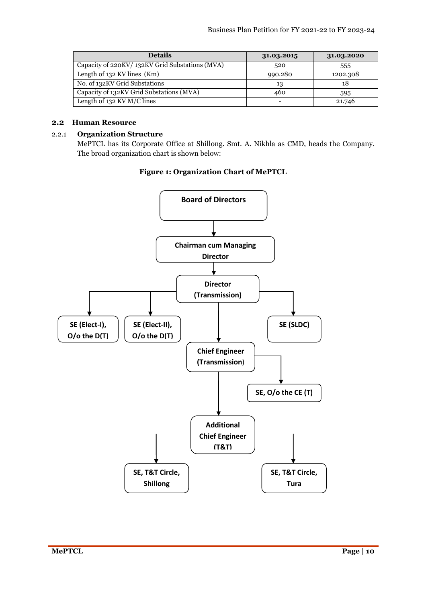| <b>Details</b>                                 | 31.03.2015 | 31.03.2020 |
|------------------------------------------------|------------|------------|
| Capacity of 220KV/132KV Grid Substations (MVA) | 520        | 555        |
| Length of $132$ KV lines (Km)                  | 990.280    | 1202.308   |
| No. of 132KV Grid Substations                  | 13         | 18         |
| Capacity of 132 KV Grid Substations (MVA)      | 460        | 595        |
| Length of 132 KV M/C lines                     |            | 21.746     |

### **2.2 Human Resource**

#### 2.2.1 **Organization Structure**

MePTCL has its Corporate Office at Shillong. Smt. A. Nikhla as CMD, heads the Company. The broad organization chart is shown below:

#### **Figure 1: Organization Chart of MePTCL**

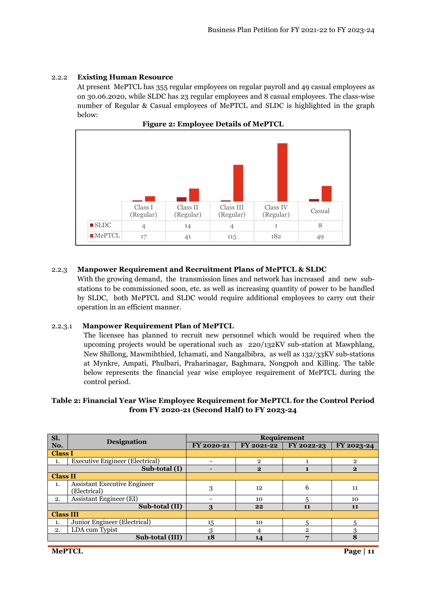### 2.2.2 **Existing Human Resource**

At present MePTCL has 355 regular employees on regular payroll and 49 casual employees as on 30.06.2020, while SLDC has 23 regular employees and 8 casual employees. The class-wise number of Regular & Casual employees of MePTCL and SLDC is highlighted in the graph below:



**Figure 2: Employee Details of MePTCL** 

### 2.2.3 **Manpower Requirement and Recruitment Plans of MePTCL & SLDC**

With the growing demand, the transmission lines and network has increased and new substations to be commissioned soon, etc. as well as increasing quantity of power to be handled by SLDC, both MePTCL and SLDC would require additional employees to carry out their operation in an efficient manner.

### 2.2.3.1 **Manpower Requirement Plan of MePTCL**

The licensee has planned to recruit new personnel which would be required when the upcoming projects would be operational such as 220/132KV sub-station at Mawphlang, New Shillong, Mawmihthied, Ichamati, and Nangalbibra, as well as 132/33KV sub-stations at Mynkre, Ampati, Phulbari, Praharinagar, Baghmara, Nongpoh and Killing. The table below represents the financial year wise employee requirement of MePTCL during the control period.

### **Table 2: Financial Year Wise Employee Requirement for MePTCL for the Control Period from FY 2020-21 (Second Half) to FY 2023-24**

| Sl.              |                                                     | <b>Requirement</b> |                |              |                |  |
|------------------|-----------------------------------------------------|--------------------|----------------|--------------|----------------|--|
| No.              | <b>Designation</b>                                  | FY 2020-21         | FY 2021-22     | FY 2022-23   | FY 2023-24     |  |
| <b>Class I</b>   |                                                     |                    |                |              |                |  |
| 1.               | <b>Executive Engineer (Electrical)</b>              |                    | $\overline{2}$ |              | $\overline{2}$ |  |
|                  | Sub-total (I)                                       |                    | $\mathbf{2}$   |              | $\mathbf{2}$   |  |
| <b>Class II</b>  |                                                     |                    |                |              |                |  |
| 1.               | <b>Assistant Executive Engineer</b><br>(Electrical) | 3                  | 12             | 6            | 11             |  |
| 2.               | <b>Assistant Engineer (EI)</b>                      |                    | 10             | 5            | 10             |  |
|                  | Sub-total (II)                                      | 3                  | 22             | 11           | 11             |  |
| <b>Class III</b> |                                                     |                    |                |              |                |  |
| 1.               | Junior Engineer (Electrical)                        | 15                 | 10             | 5            | 5              |  |
| 2.               | LDA cum Typist                                      | 3                  |                | $\mathbf{2}$ | 3              |  |
|                  | Sub-total (III)                                     | 18                 | 14             |              | 8              |  |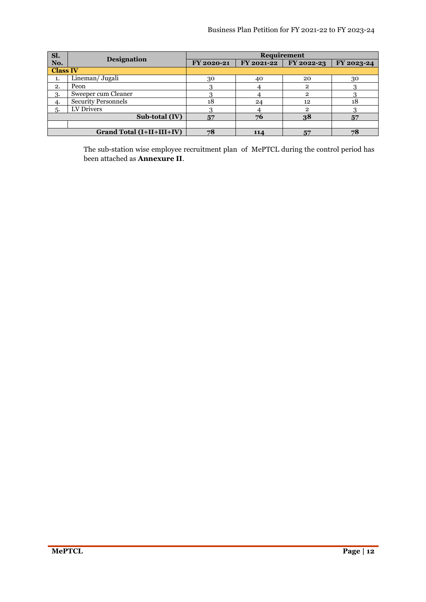| Sl.             | <b>Designation</b>               |            | <b>Requirement</b> |               |            |
|-----------------|----------------------------------|------------|--------------------|---------------|------------|
| No.             |                                  | FY 2020-21 | FY 2021-22         | FY 2022-23    | FY 2023-24 |
| <b>Class IV</b> |                                  |            |                    |               |            |
| 1.              | Lineman/ Jugali                  | 30         | 40                 | 20            | 30         |
| 2.              | Peon                             |            |                    | 2             |            |
| 3.              | Sweeper cum Cleaner              |            |                    | $\mathcal{D}$ |            |
| 4.              | <b>Security Personnels</b>       | 18         | 24                 | 12            | 18         |
| 5.              | LV Drivers                       |            |                    | റ             |            |
|                 | Sub-total (IV)                   | 57         | 76                 | 38            | 57         |
|                 |                                  |            |                    |               |            |
|                 | <b>Grand Total (I+II+III+IV)</b> | 78         | 114                | 57            | 78         |

The sub-station wise employee recruitment plan of MePTCL during the control period has been attached as **Annexure II**.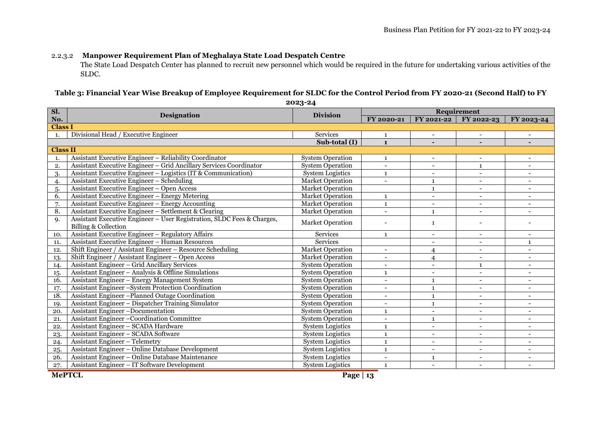### 2.2.3.2 **Manpower Requirement Plan of Meghalaya State Load Despatch Centre**

The State Load Despatch Center has planned to recruit new personnel which would be required in the future for undertaking various activities of the SLDC.

### **Table 3: Financial Year Wise Breakup of Employee Requirement for SLDC for the Control Period from FY 2020-21 (Second Half) to FY**

**Sl. No.Designation Designation Designation** *Requirement* **EXECUTEL EXECUTEL EXECUTEL EXECUTEL EXECUTEL EXECUTEL EXECUTEL EXECUTEL EXECUTEL EXECUTEL EXECUTEL EXECUTEL EXECUTEL EXECUTEL EXECUTEL FY 2021-22 FY 2022-23 FY 2023-24Class I** Divisional Head / Executive Engineer1. Services <sup>1</sup> - - - **Sub-total (I) <sup>1</sup> - - - Class II** Assistant Executive Engineer – Reliability Coordinator System Operation <sup>1</sup> - - - 1.2. Assistant Executive Engineer – Grid Ancillary Services Coordinator System Operation - - <sup>1</sup> - 3. Assistant Executive Engineer – Logistics (IT & Communication) System Logistics <sup>1</sup> - - - 4. Assistant Executive Engineer – Scheduling Market Operation - <sup>1</sup> - - 5. Assistant Executive Engineer –5. Assistant Executive Engineer – Open Access Market Operation Market Operation and Market Operation and Access<br>6. Assistant Executive Engineer – Energy Metering Market Operation and Market Operation and Access 100 and Acc Energy Metering Market Operation <sup>1</sup> - - - 7. Assistant Executive Engineer –Energy Assistant Executive Engineer – Energy Accounting Market Operation (Captus Lagrandian County of Assistant Executive Engineer – Settlement & Clearing Market Operation (Captus Lagrandian County Lagrandian County Lagran Settlement & Clearing Market Operation - <sup>1</sup> - - Assistant Executive Engineer – User Registration, SLDC Fees & Charges, 9.Billing & Collection Market Operation - <sup>1</sup> - - 10. Assistant Executive Engineer – Regulatory Affairs Services <sup>1</sup> - - - 11. Assistant Executive Engineer –– Human Resources Services Services Services 1 12. Shift Engineer / Assistant Engineer – Resource Scheduling Market Operation - <sup>4</sup> - - 13.Shift Engineer / Assistant Engineer – Open Access - Open Access Market Operation - 4 - - 4 - - 1 - - 1 - - 1 - - 1 - - 1 - - 1 - - 1 - - 1 - - 1 - - 1 - - 1 - - 1 - - 1 - - 1 - - 1 - - 1 - - 1 - - 1 - - 1 - - 1 - - 1 - - 1 - - 1 - - 1 - - 1 - - 1 - - 1 - - 1 - - 1 - - 1 -14. Assistant Engineer – Grid Ancillary Services System Operation - - <sup>1</sup> - 15.Assistant Engineer – Analysis & Offline Simulations Analysis & Offline Simulations System Operation <sup>1</sup> - - - 16. Assistant Engineer – Energy Management System System Operation - <sup>1</sup> - - 17. Assistant Engineer –System Protection Coordination System Operation - <sup>1</sup> - - 18. Assistant Engineer –Planned Outage Coordination System Operation - <sup>1</sup> - - 19. Assistant Engineer – Dispatcher Training Simulator System Operation - <sup>1</sup> - - 20. Assistant Engineer –Documentation System Operation <sup>1</sup> - - - 21. Assistant Engineer –Coordination CommitteeSystem Operation<br>System Logistics n - 1 - 1 22. Assistant Engineer – SCADA Hardware System Logistics <sup>1</sup> - - - 23. Assistant Engineer – SCADA Software System Logistics <sup>1</sup> - - - 24. Assistant Engineer – Telemetry System Logistics <sup>1</sup> - - - 25. Assistant Engineer –<u>25. Assistant Engineer – Online Database Development System Logistics (Communication Constant Engineer – Online Database Maintenance System Logistics (Communication Constant Engineer – Online Database Maintenance System L</u> 27.Assistant Engineer – IT Software Development National System Logistics National Assistant Engineer – IT Software Development National Assistant Assistant Engineer – IT Software Development

**<sup>2023-24</sup>**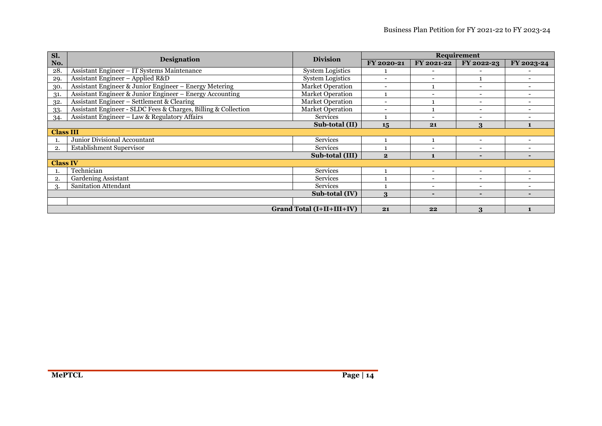| Sl.              | <b>Designation</b>                                             | <b>Division</b>           |                          |                          | Requirement              |                          |
|------------------|----------------------------------------------------------------|---------------------------|--------------------------|--------------------------|--------------------------|--------------------------|
| No.              |                                                                |                           | FY 2020-21               | FY 2021-22               | FY 2022-23               | FY 2023-24               |
| 28.              | Assistant Engineer - IT Systems Maintenance                    | System Logistics          |                          |                          |                          |                          |
| 29.              | Assistant Engineer - Applied R&D                               | <b>System Logistics</b>   |                          | $\overline{\phantom{0}}$ | $\mathbf{1}$             |                          |
| 30.              | Assistant Engineer & Junior Engineer - Energy Metering         | <b>Market Operation</b>   | $\overline{\phantom{0}}$ |                          |                          |                          |
| 31.              | Assistant Engineer & Junior Engineer – Energy Accounting       | <b>Market Operation</b>   |                          |                          |                          |                          |
| 32.              | Assistant Engineer – Settlement & Clearing                     | <b>Market Operation</b>   |                          |                          |                          |                          |
| 33.              | Assistant Engineer - SLDC Fees & Charges, Billing & Collection | Market Operation          | $\overline{\phantom{0}}$ |                          |                          | $\overline{\phantom{0}}$ |
| 34.              | Assistant Engineer – Law & Regulatory Affairs                  | Services                  |                          | $\overline{\phantom{a}}$ |                          |                          |
| Sub-total (II)   |                                                                | 15                        | 21                       | 3                        |                          |                          |
| <b>Class III</b> |                                                                |                           |                          |                          |                          |                          |
|                  | Junior Divisional Accountant                                   | <b>Services</b>           |                          |                          |                          |                          |
| $\overline{2}$   | Establishment Supervisor                                       | <b>Services</b>           |                          | $\overline{\phantom{0}}$ |                          |                          |
|                  |                                                                | Sub-total (III)           | $\mathbf{2}$             |                          | н.                       |                          |
| <b>Class IV</b>  |                                                                |                           |                          |                          |                          |                          |
|                  | Technician                                                     | Services                  |                          | $\sim$                   | $\overline{\phantom{0}}$ |                          |
| 2.               | Gardening Assistant                                            | <b>Services</b>           |                          | $\overline{\phantom{0}}$ |                          | $\overline{\phantom{0}}$ |
| 3.               | <b>Sanitation Attendant</b>                                    | <b>Services</b>           |                          | $\overline{\phantom{a}}$ |                          |                          |
|                  |                                                                | Sub-total (IV)            | $\mathbf{R}$             | $\blacksquare$           |                          |                          |
|                  |                                                                |                           |                          |                          |                          |                          |
|                  |                                                                | Grand Total (I+II+III+IV) | 21                       | 22                       | $\mathbf{R}$             |                          |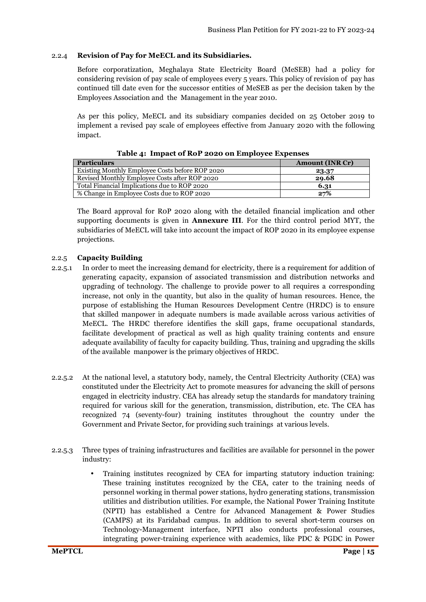#### 2.2.4 **Revision of Pay for MeECL and its Subsidiaries.**

Before corporatization, Meghalaya State Electricity Board (MeSEB) had a policy for considering revision of pay scale of employees every 5 years. This policy of revision of pay has continued till date even for the successor entities of MeSEB as per the decision taken by the Employees Association and the Management in the year 2010.

As per this policy, MeECL and its subsidiary companies decided on 25 October 2019 to implement a revised pay scale of employees effective from January 2020 with the following impact.

| <b>Particulars</b>                              | <b>Amount (INR Cr)</b> |
|-------------------------------------------------|------------------------|
| Existing Monthly Employee Costs before ROP 2020 | 23.37                  |
| Revised Monthly Employee Costs after ROP 2020   | 29.68                  |
| Total Financial Implications due to ROP 2020    | 6.31                   |
| % Change in Employee Costs due to ROP 2020      | 27%                    |

#### **Table 4: Impact of RoP 2020 on Employee Expenses**

The Board approval for R0P 2020 along with the detailed financial implication and other supporting documents is given in **Annexure III**. For the third control period MYT, the subsidiaries of MeECL will take into account the impact of ROP 2020 in its employee expense projections.

### 2.2.5 **Capacity Building**

- 2.2.5.1 In order to meet the increasing demand for electricity, there is a requirement for addition of generating capacity, expansion of associated transmission and distribution networks and upgrading of technology. The challenge to provide power to all requires a corresponding increase, not only in the quantity, but also in the quality of human resources. Hence, the purpose of establishing the Human Resources Development Centre (HRDC) is to ensure that skilled manpower in adequate numbers is made available across various activities of MeECL. The HRDC therefore identifies the skill gaps, frame occupational standards, facilitate development of practical as well as high quality training contents and ensure adequate availability of faculty for capacity building. Thus, training and upgrading the skills of the available manpower is the primary objectives of HRDC.
- 2.2.5.2 At the national level, a statutory body, namely, the Central Electricity Authority (CEA) was constituted under the Electricity Act to promote measures for advancing the skill of persons engaged in electricity industry. CEA has already setup the standards for mandatory training required for various skill for the generation, transmission, distribution, etc. The CEA has recognized 74 (seventy-four) training institutes throughout the country under the Government and Private Sector, for providing such trainings at various levels.
- 2.2.5.3 Three types of training infrastructures and facilities are available for personnel in the power industry:
	- Training institutes recognized by CEA for imparting statutory induction training: These training institutes recognized by the CEA, cater to the training needs of personnel working in thermal power stations, hydro generating stations, transmission utilities and distribution utilities. For example, the National Power Training Institute (NPTI) has established a Centre for Advanced Management & Power Studies (CAMPS) at its Faridabad campus. In addition to several short-term courses on Technology-Management interface, NPTI also conducts professional courses, integrating power-training experience with academics, like PDC & PGDC in Power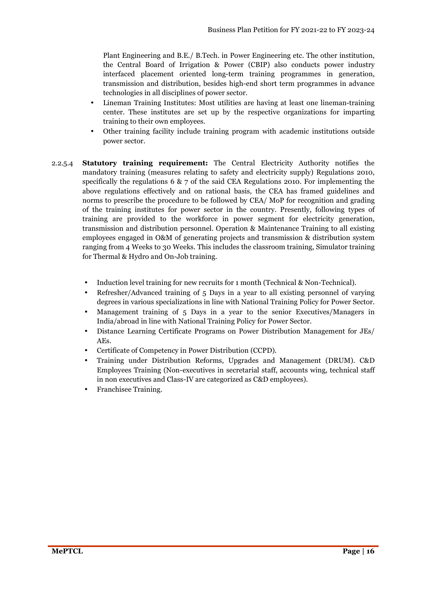Plant Engineering and B.E./ B.Tech. in Power Engineering etc. The other institution, the Central Board of Irrigation & Power (CBIP) also conducts power industry interfaced placement oriented long-term training programmes in generation, transmission and distribution, besides high-end short term programmes in advance technologies in all disciplines of power sector.

- Lineman Training Institutes: Most utilities are having at least one lineman-training center. These institutes are set up by the respective organizations for imparting training to their own employees.
- Other training facility include training program with academic institutions outside power sector.
- 2.2.5.4 **Statutory training requirement:** The Central Electricity Authority notifies the mandatory training (measures relating to safety and electricity supply) Regulations 2010, specifically the regulations 6  $\& \, 7$  of the said CEA Regulations 2010. For implementing the above regulations effectively and on rational basis, the CEA has framed guidelines and norms to prescribe the procedure to be followed by CEA/ MoP for recognition and grading of the training institutes for power sector in the country. Presently, following types of training are provided to the workforce in power segment for electricity generation, transmission and distribution personnel. Operation & Maintenance Training to all existing employees engaged in O&M of generating projects and transmission & distribution system ranging from 4 Weeks to 30 Weeks. This includes the classroom training, Simulator training for Thermal & Hydro and On-Job training.
	- Induction level training for new recruits for 1 month (Technical & Non-Technical).
	- Refresher/Advanced training of 5 Days in a year to all existing personnel of varying degrees in various specializations in line with National Training Policy for Power Sector.
	- Management training of 5 Days in a year to the senior Executives/Managers in India/abroad in line with National Training Policy for Power Sector.
	- Distance Learning Certificate Programs on Power Distribution Management for JEs/ AEs.
	- Certificate of Competency in Power Distribution (CCPD).
	- Training under Distribution Reforms, Upgrades and Management (DRUM). C&D Employees Training (Non-executives in secretarial staff, accounts wing, technical staff in non executives and Class-IV are categorized as C&D employees).
	- Franchisee Training.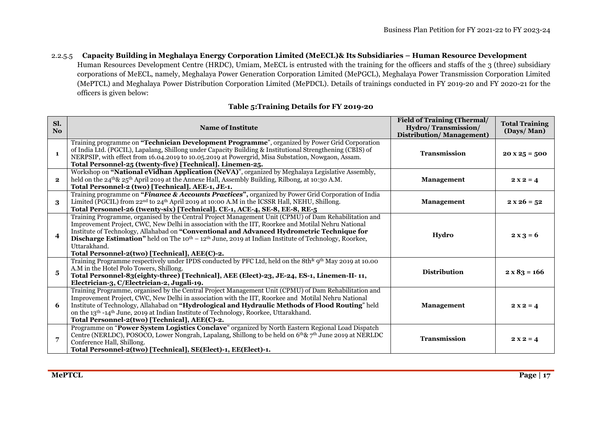2.2.5.5 **Capacity Building in Meghalaya Energy Corporation Limited (MeECL)& Its Subsidiaries – Human Resource Development**  Human Resources Development Centre (HRDC), Umiam, MeECL is entrusted with the training for the officers and staffs of the 3 (three) subsidiary corporations of MeECL, namely, Meghalaya Power Generation Corporation Limited (MePGCL), Meghalaya Power Transmission Corporation Limited (MePTCL) and Meghalaya Power Distribution Corporation Limited (MePDCL). Details of trainings conducted in FY 2019-20 and FY 2020-21 for the officers is given below:

### **Table 5:Training Details for FY 2019-20**

| Sl.<br>No.              | <b>Name of Institute</b>                                                                                                                                                                                                                                                                                                                                                                                                                                                                                          | <b>Field of Training (Thermal/</b><br>Hydro/Transmission/<br><b>Distribution/Management)</b> | <b>Total Training</b><br>(Days/Man) |
|-------------------------|-------------------------------------------------------------------------------------------------------------------------------------------------------------------------------------------------------------------------------------------------------------------------------------------------------------------------------------------------------------------------------------------------------------------------------------------------------------------------------------------------------------------|----------------------------------------------------------------------------------------------|-------------------------------------|
| $\mathbf{1}$            | Training programme on "Technician Development Programme", organized by Power Grid Corporation<br>of India Ltd. (PGCIL), Lapalang, Shillong under Capacity Building & Institutional Strengthening (CBIS) of<br>NERPSIP, with effect from 16.04.2019 to 10.05.2019 at Powergrid, Misa Substation, Nowgaon, Assam.<br>Total Personnel-25 (twenty-five) [Technical]. Linemen-25.                                                                                                                                      | <b>Transmission</b>                                                                          | $20 \times 25 = 500$                |
| $\mathbf{2}$            | Workshop on "National eVidhan Application (NeVA)", organized by Meghalaya Legislative Assembly,<br>held on the 24 <sup>th</sup> & 25 <sup>th</sup> April 2019 at the Annexe Hall, Assembly Building, Rilbong, at 10:30 A.M.<br>Total Personnel-2 (two) [Technical]. AEE-1, JE-1.                                                                                                                                                                                                                                  | <b>Management</b>                                                                            | $2x2 = 4$                           |
| 3                       | Training programme on "Finance & Accounts Practices", organized by Power Grid Corporation of India<br>Limited (PGCIL) from 22 <sup>nd</sup> to 24 <sup>th</sup> April 2019 at 10:00 A.M in the ICSSR Hall, NEHU, Shillong.<br>Total Personnel-26 (twenty-six) [Technical]. CE-1, ACE-4, SE-8, EE-8, RE-5                                                                                                                                                                                                          | <b>Management</b>                                                                            | $2 x 26 = 52$                       |
| $\overline{\mathbf{4}}$ | Training Programme, organised by the Central Project Management Unit (CPMU) of Dam Rehabilitation and<br>Improvement Project, CWC, New Delhi in association with the IIT, Roorkee and Motilal Nehru National<br>Institute of Technology, Allahabad on "Conventional and Advanced Hydrometric Technique for<br><b>Discharge Estimation</b> " held on The $10^{\text{th}} - 12^{\text{th}}$ June, 2019 at Indian Institute of Technology, Roorkee,<br>Uttarakhand.<br>Total Personnel-2(two) [Technical], AEE(C)-2. | Hydro                                                                                        | $2x3 = 6$                           |
| 5                       | Training Programme respectively under IPDS conducted by PFC Ltd, held on the 8th <sup>&amp;</sup> 9 <sup>th</sup> May 2019 at 10.00<br>A.M in the Hotel Polo Towers, Shillong.<br>Total Personnel-83(eighty-three) [Technical], AEE (Elect)-23, JE-24, ES-1, Linemen-II-11,<br>Electrician-3, C/Electrician-2, Jugali-19.                                                                                                                                                                                         | <b>Distribution</b>                                                                          | $2 \times 83 = 166$                 |
| 6                       | Training Programme, organised by the Central Project Management Unit (CPMU) of Dam Rehabilitation and<br>Improvement Project, CWC, New Delhi in association with the IIT, Roorkee and Motilal Nehru National<br>Institute of Technology, Allahabad on "Hydrological and Hydraulic Methods of Flood Routing" held<br>on the 13 <sup>th</sup> -14 <sup>th</sup> June, 2019 at Indian Institute of Technology, Roorkee, Uttarakhand.<br>Total Personnel-2(two) [Technical], AEE(C)-2.                                | <b>Management</b>                                                                            | $2x2 = 4$                           |
|                         | Programme on "Power System Logistics Conclave" organized by North Eastern Regional Load Dispatch<br>Centre (NERLDC), POSOCO, Lower Nongrah, Lapalang, Shillong to be held on 6 <sup>th</sup> & 7 <sup>th</sup> June 2019 at NERLDC<br>Conference Hall, Shillong.<br>Total Personnel-2(two) [Technical], SE(Elect)-1, EE(Elect)-1.                                                                                                                                                                                 | <b>Transmission</b>                                                                          | $2 X 2 = 4$                         |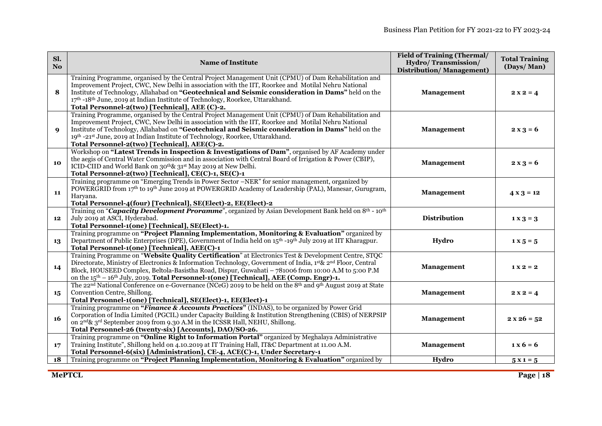| Sl.<br>No.  | <b>Name of Institute</b>                                                                                                                                                                                                                                                                                                                                                                                                                               | <b>Field of Training (Thermal/</b><br>Hydro/Transmission/<br><b>Distribution/Management)</b> | <b>Total Training</b><br>(Days/Man)         |
|-------------|--------------------------------------------------------------------------------------------------------------------------------------------------------------------------------------------------------------------------------------------------------------------------------------------------------------------------------------------------------------------------------------------------------------------------------------------------------|----------------------------------------------------------------------------------------------|---------------------------------------------|
| 8           | Training Programme, organised by the Central Project Management Unit (CPMU) of Dam Rehabilitation and<br>Improvement Project, CWC, New Delhi in association with the IIT, Roorkee and Motilal Nehru National<br>Institute of Technology, Allahabad on "Geotechnical and Seismic consideration in Dams" held on the<br>17th -18th June, 2019 at Indian Institute of Technology, Roorkee, Uttarakhand.<br>Total Personnel-2(two) [Technical], AEE (C)-2. | Management                                                                                   | $2x2 = 4$                                   |
| $\mathbf Q$ | Training Programme, organised by the Central Project Management Unit (CPMU) of Dam Rehabilitation and<br>Improvement Project, CWC, New Delhi in association with the IIT, Roorkee and Motilal Nehru National<br>Institute of Technology, Allahabad on "Geotechnical and Seismic consideration in Dams" held on the<br>19th -21st June, 2019 at Indian Institute of Technology, Roorkee, Uttarakhand.<br>Total Personnel-2(two) [Technical], AEE(C)-2.  | Management                                                                                   | $2 x 3 = 6$                                 |
| 10          | Workshop on "Latest Trends in Inspection & Investigations of Dam", organised by AF Academy under<br>the aegis of Central Water Commission and in association with Central Board of Irrigation & Power (CBIP),<br>ICID-CIID and World Bank on 30 <sup>th</sup> & 31 <sup>st</sup> May 2019 at New Delhi.<br>Total Personnel-2(two) [Technical], CE(C)-1, SE(C)-1                                                                                        | <b>Management</b>                                                                            | $2 x 3 = 6$                                 |
| 11          | Training programme on "Emerging Trends in Power Sector –NER" for senior management, organized by<br>POWERGRID from 17th to 19th June 2019 at POWERGRID Academy of Leadership (PAL), Manesar, Gurugram,<br>Haryana.<br>Total Personnel-4(four) [Technical], SE(Elect)-2, EE(Elect)-2                                                                                                                                                                    | Management                                                                                   | $4 \times 3 = 12$                           |
| 12          | Training on "Capacity Development Proramme", organized by Asian Development Bank held on 8 <sup>th</sup> - 10 <sup>th</sup><br>July 2019 at ASCI, Hyderabad.<br>Total Personnel-1(one) [Technical], SE(Elect)-1.                                                                                                                                                                                                                                       | <b>Distribution</b>                                                                          | $1 \times 3 = 3$                            |
| 13          | Training programme on "Project Planning Implementation, Monitoring & Evaluation" organized by<br>Department of Public Enterprises (DPE), Government of India held on 15 <sup>th</sup> -19 <sup>th</sup> July 2019 at IIT Kharagpur.<br>Total Personnel-1(one) [Technical], AEE(C)-1                                                                                                                                                                    | Hydro                                                                                        | $1 \times 5 = 5$                            |
| 14          | Training Programme on "Website Quality Certification" at Electronics Test & Development Centre, STQC<br>Directorate, Ministry of Electronics & Information Technology, Government of India, 1st & 2nd Floor, Central<br>Block, HOUSEED Complex, Beltola-Basistha Road, Dispur, Guwahati – 781006 from 10:00 A.M to 5:00 P.M<br>on the $15th - 16th$ July, 2019. Total Personnel-1(one) [Technical], AEE (Comp. Engr)-1.                                | Management                                                                                   | $1 X 2 = 2$                                 |
| 15          | The 22 <sup>nd</sup> National Conference on e-Governance (NCeG) 2019 to be held on the 8 <sup>th</sup> and 9 <sup>th</sup> August 2019 at State<br>Convention Centre, Shillong.<br>Total Personnel-1(one) [Technical], SE(Elect)-1, EE(Elect)-1                                                                                                                                                                                                        | <b>Management</b>                                                                            | $2x2 = 4$                                   |
| <b>16</b>   | Training programme on "Finance & Accounts Practices" (INDAS), to be organized by Power Grid<br>Corporation of India Limited (PGCIL) under Capacity Building & Institution Strengthening (CBIS) of NERPSIP<br>on 2 <sup>nd</sup> & 3 <sup>rd</sup> September 2019 from 9.30 A.M in the ICSSR Hall, NEHU, Shillong.<br>Total Personnel-26 (twenty-six) [Accounts], DAO/SO-26.                                                                            | Management                                                                                   | $2 x 26 = 52$                               |
| 17          | Training programme on "Online Right to Information Portal" organized by Meghalaya Administrative<br>Training Institute", Shillong held on 4.10.2019 at IT Training Hall, IT&C Department at 11.00 A.M.<br>Total Personnel-6(six) [Administration], CE-4, ACE(C)-1, Under Secretary-1                                                                                                                                                                   | Management                                                                                   | $\mathbf{1} \times \mathbf{6} = \mathbf{6}$ |
| 18          | Training programme on "Project Planning Implementation, Monitoring & Evaluation" organized by                                                                                                                                                                                                                                                                                                                                                          | Hydro                                                                                        | $5x1=5$                                     |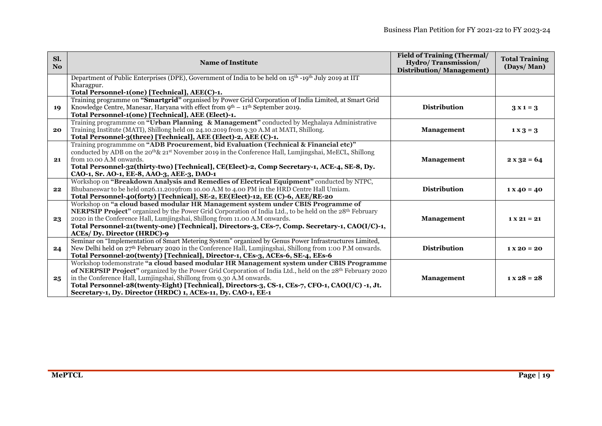| Sl.<br>N <sub>0</sub> | <b>Name of Institute</b>                                                                                                                                                                    | <b>Field of Training (Thermal/</b><br>Hydro/Transmission/<br><b>Distribution/Management)</b> | <b>Total Training</b><br>(Days/Man) |
|-----------------------|---------------------------------------------------------------------------------------------------------------------------------------------------------------------------------------------|----------------------------------------------------------------------------------------------|-------------------------------------|
|                       | Department of Public Enterprises (DPE), Government of India to be held on $15th$ -19 <sup>th</sup> July 2019 at IIT                                                                         |                                                                                              |                                     |
|                       | Kharagpur.                                                                                                                                                                                  |                                                                                              |                                     |
|                       | Total Personnel-1(one) [Technical], AEE(C)-1.                                                                                                                                               |                                                                                              |                                     |
| 19                    | Training programme on "Smartgrid" organised by Power Grid Corporation of India Limited, at Smart Grid<br>Knowledge Centre, Manesar, Haryana with effect from $9th - 11th$ September 2019.   | <b>Distribution</b>                                                                          | $3x1=3$                             |
|                       | Total Personnel-1(one) [Technical], AEE (Elect)-1.                                                                                                                                          |                                                                                              |                                     |
|                       | Training programmme on "Urban Planning & Management" conducted by Meghalaya Administrative                                                                                                  |                                                                                              |                                     |
| 20                    | Training Institute (MATI), Shillong held on 24.10.2019 from 9.30 A.M at MATI, Shillong.                                                                                                     | <b>Management</b>                                                                            | $1 \times 3 = 3$                    |
|                       | Total Personnel-3(three) [Technical], AEE (Elect)-2, AEE (C)-1.                                                                                                                             |                                                                                              |                                     |
|                       | Training programmme on "ADB Procurement, bid Evaluation (Technical & Financial etc)"                                                                                                        |                                                                                              |                                     |
|                       | conducted by ADB on the 20 <sup>th</sup> & 21 <sup>st</sup> November 2019 in the Conference Hall, Lumjingshai, MeECL, Shillong                                                              |                                                                                              |                                     |
| 21                    | from 10.00 A.M onwards.                                                                                                                                                                     | <b>Management</b>                                                                            | $2 x 32 = 64$                       |
|                       | Total Personnel-32(thirty-two) [Technical], CE(Elect)-2, Comp Secretary-1, ACE-4, SE-8, Dy.                                                                                                 |                                                                                              |                                     |
|                       | CAO-1, Sr. AO-1, EE-8, AAO-3, AEE-3, DAO-1<br>Workshop on "Breakdown Analysis and Remedies of Electrical Equipment" conducted by NTPC,                                                      |                                                                                              |                                     |
| 22                    | Bhubaneswar to be held on 26.11.2019 from 10.00 A.M to 4.00 PM in the HRD Centre Hall Umiam.                                                                                                | <b>Distribution</b>                                                                          | $1 X 40 = 40$                       |
|                       | Total Personnel-40(forty) [Technical], SE-2, EE(Elect)-12, EE (C)-6, AEE/RE-20                                                                                                              |                                                                                              |                                     |
|                       | Workshop on "a cloud based modular HR Management system under CBIS Programme of                                                                                                             |                                                                                              |                                     |
|                       | <b>NERPSIP Project</b> " organized by the Power Grid Corporation of India Ltd., to be held on the 28 <sup>th</sup> February                                                                 |                                                                                              |                                     |
| 23                    | 2020 in the Conference Hall, Lumjingshai, Shillong from 11.00 A.M onwards.                                                                                                                  | <b>Management</b>                                                                            | $1 X 21 = 21$                       |
|                       | Total Personnel-21(twenty-one) [Technical], Directors-3, CEs-7, Comp. Secretary-1, CAO(I/C)-1,                                                                                              |                                                                                              |                                     |
|                       | <b>ACEs/ Dy. Director (HRDC)-9</b>                                                                                                                                                          |                                                                                              |                                     |
|                       | Seminar on "Implementation of Smart Metering System" organized by Genus Power Infrastructures Limited,                                                                                      | <b>Distribution</b>                                                                          |                                     |
| 24                    | New Delhi held on 27th February 2020 in the Conference Hall, Lumjingshai, Shillong from 1:00 P.M onwards.<br>Total Personnel-20(twenty) [Technical], Director-1, CEs-3, ACEs-6, SE-4, EEs-6 |                                                                                              | $1 X 20 = 20$                       |
|                       | Workshop todemonstrate "a cloud based modular HR Management system under CBIS Programme                                                                                                     |                                                                                              |                                     |
|                       | of NERPSIP Project" organized by the Power Grid Corporation of India Ltd., held on the 28 <sup>th</sup> February 2020                                                                       |                                                                                              |                                     |
| $25^{\circ}$          | in the Conference Hall, Lumjingshai, Shillong from 9.30 A.M onwards.                                                                                                                        | <b>Management</b>                                                                            | $1 \times 28 = 28$                  |
|                       | Total Personnel-28(twenty-Eight) [Technical], Directors-3, CS-1, CEs-7, CFO-1, CAO(I/C) -1, Jt.                                                                                             |                                                                                              |                                     |
|                       | Secretary-1, Dy. Director (HRDC) 1, ACEs-11, Dy. CAO-1, EE-1                                                                                                                                |                                                                                              |                                     |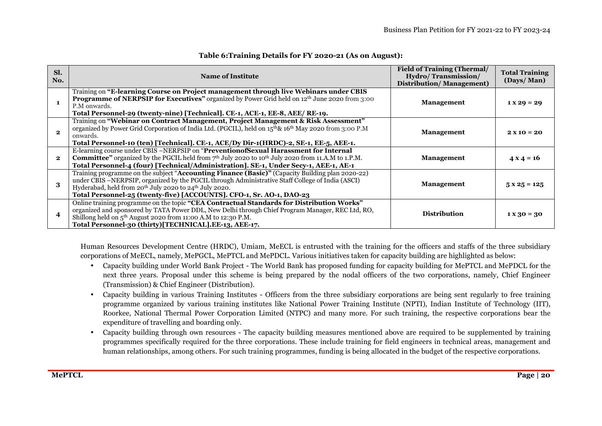| SI.<br>No.   | <b>Name of Institute</b>                                                                                                                                                                                                                                                                                                                                      | <b>Field of Training (Thermal/</b><br><b>Hydro/Transmission/</b><br><b>Distribution/Management)</b> | <b>Total Training</b><br>(Days/Man) |
|--------------|---------------------------------------------------------------------------------------------------------------------------------------------------------------------------------------------------------------------------------------------------------------------------------------------------------------------------------------------------------------|-----------------------------------------------------------------------------------------------------|-------------------------------------|
|              | Training on "E-learning Course on Project management through live Webinars under CBIS<br><b>Programme of NERPSIP for Executives</b> " organized by Power Grid held on 12th June 2020 from 3:00<br>P.M onwards.<br>Total Personnel-29 (twenty-nine) [Technical]. CE-1, ACE-1, EE-8, AEE/ RE-19.                                                                | <b>Management</b>                                                                                   | $1 \times 29 = 29$                  |
|              | Training on "Webinar on Contract Management, Project Management & Risk Assessment"<br>organized by Power Grid Corporation of India Ltd. (PGCIL), held on 15 <sup>th</sup> & 16 <sup>th</sup> May 2020 from 3:00 P.M<br>onwards.<br>Total Personnel-10 (ten) [Technical]. CE-1, ACE/Dy Dir-1(HRDC)-2, SE-1, EE-5, AEE-1.                                       | <b>Management</b>                                                                                   | $2 X 10 = 20$                       |
| $\mathbf{2}$ | E-learning course under CBIS –NERPSIP on "Prevention of Sexual Harassment for Internal<br><b>Committee</b> " organized by the PGCIL held from $7th$ July 2020 to 10 <sup>th</sup> July 2020 from 11.A.M to 1.P.M.<br>Total Personnel-4 (four) [Technical/Administration]. SE-1, Under Secy-1, AEE-1, AE-1                                                     | <b>Management</b>                                                                                   | $4 \times 4 = 16$                   |
| 3            | Training programme on the subject "Accounting Finance (Basic)" (Capacity Building plan 2020-22)<br>under CBIS -NERPSIP, organized by the PGCIL through Administrative Staff College of India (ASCI)<br>Hyderabad, held from 20 <sup>th</sup> July 2020 to 24 <sup>th</sup> July 2020.<br>Total Personnel-25 (twenty-five) [ACCOUNTS]. CFO-1, Sr. AO-1, DAO-23 | <b>Management</b>                                                                                   | $5 \times 25 = 125$                 |
|              | Online training programme on the topic "CEA Contractual Standards for Distribution Works"<br>organized and sponsored by TATA Power DDL, New Delhi through Chief Program Manager, REC Ltd, RO,<br>Shillong held on 5 <sup>th</sup> August 2020 from 11:00 A.M to 12:30 P.M.<br>Total Personnel-30 (thirty)[TECHNICAL].EE-13, AEE-17.                           | <b>Distribution</b>                                                                                 | $1 X 30 = 30$                       |

### **Table 6:Training Details for FY 2020-21 (As on August):**

Human Resources Development Centre (HRDC), Umiam, MeECL is entrusted with the training for the officers and staffs of the three subsidiary corporations of MeECL, namely, MePGCL, MePTCL and MePDCL. Various initiatives taken for capacity building are highlighted as below:

- Capacity building under World Bank Project The World Bank has proposed funding for capacity building for MePTCL and MePDCL for the next three years. Proposal under this scheme is being prepared by the nodal officers of the two corporations, namely, Chief Engineer (Transmission) & Chief Engineer (Distribution).
- • Capacity building in various Training Institutes - Officers from the three subsidiary corporations are being sent regularly to free training programme organized by various training institutes like National Power Training Institute (NPTI), Indian Institute of Technology (IIT), Roorkee, National Thermal Power Corporation Limited (NTPC) and many more. For such training, the respective corporations bear the expenditure of travelling and boarding only.
- • Capacity building through own resources - The capacity building measures mentioned above are required to be supplemented by training programmes specifically required for the three corporations. These include training for field engineers in technical areas, management and human relationships, among others. For such training programmes, funding is being allocated in the budget of the respective corporations.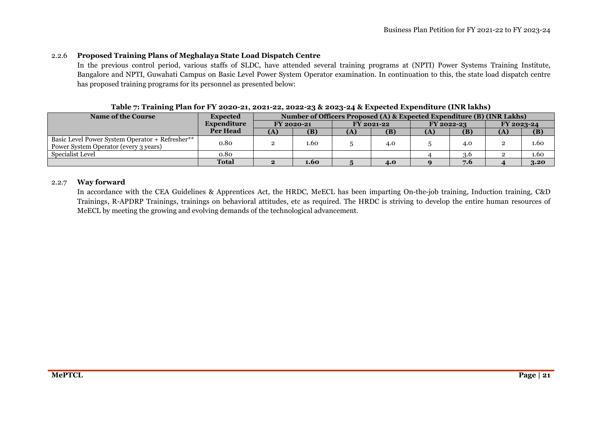#### 2.2.6**Proposed Training Plans of Meghalaya State Load Dispatch Centre**

In the previous control period, various staffs of SLDC, have attended several training programs at (NPTI) Power Systems Training Institute, Bangalore and NPTI, Guwahati Campus on Basic Level Power System Operator examination. In continuation to this, the state load dispatch centre has proposed training programs for its personnel as presented below:

| <b>Name of the Course</b>                                                                | <b>Expected</b> | Number of Officers Proposed (A) & Expected Expenditure (B) (INR Lakhs) |            |              |            |            |     |            |      |
|------------------------------------------------------------------------------------------|-----------------|------------------------------------------------------------------------|------------|--------------|------------|------------|-----|------------|------|
|                                                                                          | Expenditure     |                                                                        | FY 2020-21 |              | FY 2021-22 | FY 2022-23 |     | FY 2023-24 |      |
|                                                                                          | <b>Per Head</b> | (A)                                                                    | (B)        | $\mathbf{A}$ | (B)        | (A)        | (B) | (A)        | (B)  |
| Basic Level Power System Operator + Refresher**<br>Power System Operator (every 3 years) | 0.80            |                                                                        | .60        |              | 4.0        |            | 4.0 |            | 1.60 |
| Specialist Level                                                                         | 0.80            |                                                                        |            |              |            |            | 3.6 |            | 1.60 |
|                                                                                          | <b>Total</b>    | $\bullet$                                                              | 1.60       |              | 4.0        |            | 7.6 |            | 3.20 |

#### **Table 7: Training Plan for FY 2020-21, 2021-22, 2022-23 & 2023-24 & Expected Expenditure (INR lakhs)**

### 2.2.7 **Way forward**

In accordance with the CEA Guidelines & Apprentices Act, the HRDC, MeECL has been imparting On-the-job training, Induction training, C&D Trainings, R-APDRP Trainings, trainings on behavioral attitudes, etc as required. The HRDC is striving to develop the entire human resources of MeECL by meeting the growing and evolving demands of the technological advancement.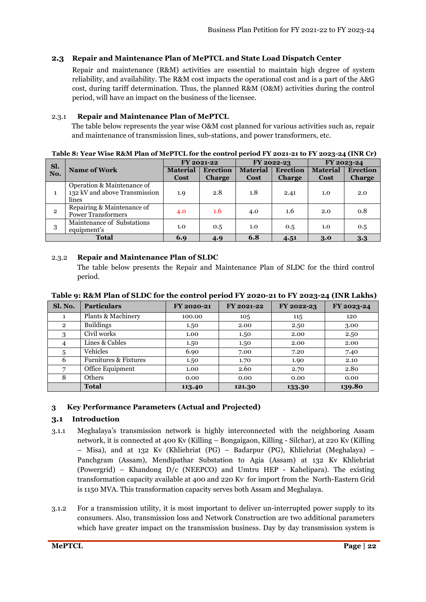### **2.3 Repair and Maintenance Plan of MePTCL and State Load Dispatch Center**

Repair and maintenance (R&M) activities are essential to maintain high degree of system reliability, and availability. The R&M cost impacts the operational cost and is a part of the A&G cost, during tariff determination. Thus, the planned R&M (O&M) activities during the control period, will have an impact on the business of the licensee.

### 2.3.1 **Repair and Maintenance Plan of MePTCL**

The table below represents the year wise O&M cost planned for various activities such as, repair and maintenance of transmission lines, sub-stations, and power transformers, etc.

### **Table 8: Year Wise R&M Plan of MePTCL for the control period FY 2021-21 to FY 2023-24 (INR Cr)**

| Sl.            |                                                                      | FY 2021-22              |                                  | FY 2022-23              |                                  | FY 2023-24                     |                                  |  |
|----------------|----------------------------------------------------------------------|-------------------------|----------------------------------|-------------------------|----------------------------------|--------------------------------|----------------------------------|--|
| No.            | <b>Name of Work</b>                                                  | <b>Material</b><br>Cost | <b>Erection</b><br><b>Charge</b> | <b>Material</b><br>Cost | <b>Erection</b><br><b>Charge</b> | <b>Material</b><br><b>Cost</b> | <b>Erection</b><br><b>Charge</b> |  |
|                | Operation & Maintenance of<br>132 kV and above Transmission<br>lines | 1.9                     | 2.8                              | 1.8                     | 2.41                             | 1.0                            | 2.0                              |  |
| $\overline{2}$ | Repairing & Maintenance of<br><b>Power Transformers</b>              | 4.0                     | 1.6                              | 4.0                     | 1.6                              | 2.0                            | 0.8                              |  |
| 3              | Maintenance of Substations<br>equipment's                            | 1.0                     | 0.5                              | 1.0                     | 0.5                              | 1.0                            | 0.5                              |  |
| <b>Total</b>   |                                                                      | 6.9                     | 4.9                              | 6.8                     | 4.51                             | 3.0                            | 3.3                              |  |

### 2.3.2 **Repair and Maintenance Plan of SLDC**

The table below presents the Repair and Maintenance Plan of SLDC for the third control period.

| Sl. No.        | <b>Particulars</b>               | FY 2020-21 | FY 2021-22 | FY 2022-23 | FY 2023-24 |
|----------------|----------------------------------|------------|------------|------------|------------|
|                | Plants & Machinery               | 100.00     | 105        | 115        | 120        |
| $\mathbf{2}$   | <b>Buildings</b>                 | 1.50       | 2.00       | 2.50       | 3.00       |
| 3              | Civil works                      | 1.00       | 1.50       | 2.00       | 2.50       |
| $\overline{4}$ | Lines & Cables                   | 1.50       | 1.50       | 2.00       | 2.00       |
| 5              | Vehicles                         | 6.90       | 7.00       | 7.20       | 7.40       |
| 6              | <b>Furnitures &amp; Fixtures</b> | 1.50       | 1.70       | 1.90       | 2.10       |
|                | Office Equipment                 | 1.00       | 2.60       | 2.70       | 2.80       |
| 8              | <b>Others</b>                    | 0.00       | 0.00       | 0.00       | 0.00       |
|                | <b>Total</b>                     | 113.40     | 121.30     | 133.30     | 139.80     |

**Table 9: R&M Plan of SLDC for the control period FY 2020-21 to FY 2023-24 (INR Lakhs)** 

### **3 Key Performance Parameters (Actual and Projected)**

### **3.1 Introduction**

- 3.1.1 Meghalaya's transmission network is highly interconnected with the neighboring Assam network, it is connected at 400 Kv (Killing – Bongaigaon, Killing - Silchar), at 220 Kv (Killing – Misa), and at 132 Kv (Khliehriat (PG) – Badarpur (PG), Khliehriat (Meghalaya) – Panchgram (Assam), Mendipathar Substation to Agia (Assam) at 132 Kv Khliehriat (Powergrid) – Khandong D/c (NEEPCO) and Umtru HEP - Kahelipara). The existing transformation capacity available at 400 and 220 Kv for import from the North-Eastern Grid is 1150 MVA. This transformation capacity serves both Assam and Meghalaya.
- 3.1.2 For a transmission utility, it is most important to deliver un-interrupted power supply to its consumers. Also, transmission loss and Network Construction are two additional parameters which have greater impact on the transmission business. Day by day transmission system is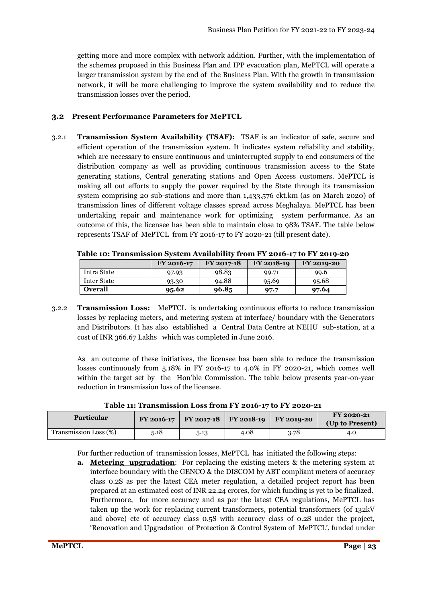getting more and more complex with network addition. Further, with the implementation of the schemes proposed in this Business Plan and IPP evacuation plan, MePTCL will operate a larger transmission system by the end of the Business Plan. With the growth in transmission network, it will be more challenging to improve the system availability and to reduce the transmission losses over the period.

### **3.2 Present Performance Parameters for MePTCL**

3.2.1 **Transmission System Availability (TSAF):** TSAF is an indicator of safe, secure and efficient operation of the transmission system. It indicates system reliability and stability, which are necessary to ensure continuous and uninterrupted supply to end consumers of the distribution company as well as providing continuous transmission access to the State generating stations, Central generating stations and Open Access customers. MePTCL is making all out efforts to supply the power required by the State through its transmission system comprising 20 sub-stations and more than 1,433.576 ckt.km (as on March 2020) of transmission lines of different voltage classes spread across Meghalaya. MePTCL has been undertaking repair and maintenance work for optimizing system performance. As an outcome of this, the licensee has been able to maintain close to 98% TSAF. The table below represents TSAF of MePTCL from FY 2016-17 to FY 2020-21 (till present date).

|                | FY 2016-17 | FY 2017-18 | FY 2018-19 | FY 2019-20 |
|----------------|------------|------------|------------|------------|
| Intra State    | 97.93      | 98.83      | 99.71      | 99.6       |
| Inter State    | 93.30      | 94.88      | 95.69      | 95.68      |
| <b>Overall</b> | 95.62      | 96.85      | 97.7       | 97.64      |

**Table 10: Transmission System Availability from FY 2016-17 to FY 2019-20** 

3.2.2 **Transmission Loss:** MePTCL is undertaking continuous efforts to reduce transmission losses by replacing meters, and metering system at interface/ boundary with the Generators and Distributors. It has also established a Central Data Centre at NEHU sub-station, at a cost of INR 366.67 Lakhs which was completed in June 2016.

As an outcome of these initiatives, the licensee has been able to reduce the transmission losses continuously from 5.18% in FY 2016-17 to 4.0% in FY 2020-21, which comes well within the target set by the Hon'ble Commission. The table below presents year-on-year reduction in transmission loss of the licensee.

**Table 11: Transmission Loss from FY 2016-17 to FY 2020-21** 

| <b>Particular</b>     |      | FY 2016-17   FY 2017-18   FY 2018-19   FY 2019-20 |      |      | FY 2020-21<br>(Up to Present) |
|-----------------------|------|---------------------------------------------------|------|------|-------------------------------|
| Transmission Loss (%) | 5.18 | 5.13                                              | 4.08 | 3.78 | 4.0                           |

For further reduction of transmission losses, MePTCL has initiated the following steps:

**a. Metering upgradation**: For replacing the existing meters & the metering system at interface boundary with the GENCO & the DISCOM by ABT compliant meters of accuracy class 0.2S as per the latest CEA meter regulation, a detailed project report has been prepared at an estimated cost of INR 22.24 crores, for which funding is yet to be finalized. Furthermore, for more accuracy and as per the latest CEA regulations, MePTCL has taken up the work for replacing current transformers, potential transformers (of 132kV and above) etc of accuracy class 0.5S with accuracy class of 0.2S under the project, 'Renovation and Upgradation of Protection & Control System of MePTCL', funded under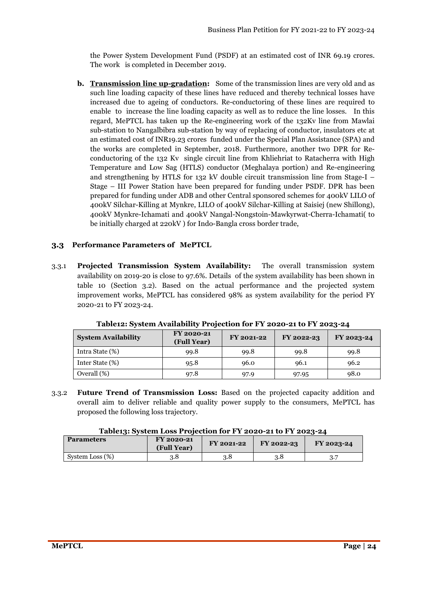the Power System Development Fund (PSDF) at an estimated cost of INR 69.19 crores. The work is completed in December 2019.

**b. Transmission line up-gradation:** Some of the transmission lines are very old and as such line loading capacity of these lines have reduced and thereby technical losses have increased due to ageing of conductors. Re-conductoring of these lines are required to enable to increase the line loading capacity as well as to reduce the line losses. In this regard, MePTCL has taken up the Re-engineering work of the 132Kv line from Mawlai sub-station to Nangalbibra sub-station by way of replacing of conductor, insulators etc at an estimated cost of INR19.23 crores funded under the Special Plan Assistance (SPA) and the works are completed in September, 2018. Furthermore, another two DPR for Reconductoring of the 132 Kv single circuit line from Khliehriat to Ratacherra with High Temperature and Low Sag (HTLS) conductor (Meghalaya portion) and Re-engineering and strengthening by HTLS for 132 kV double circuit transmission line from Stage-I – Stage – III Power Station have been prepared for funding under PSDF. DPR has been prepared for funding under ADB and other Central sponsored schemes for 400kV LILO of 400kV Silchar-Killing at Mynkre, LILO of 400kV Silchar-Killing at Saisiej (new Shillong), 400kV Mynkre-Ichamati and 400kV Nangal-Nongstoin-Mawkyrwat-Cherra-Ichamati( to be initially charged at 220kV ) for Indo-Bangla cross border trade,

### **3.3 Performance Parameters of MePTCL**

3.3.1 **Projected Transmission System Availability:** The overall transmission system availability on 2019-20 is close to 97.6%. Details of the system availability has been shown in table 10 (Section 3.2). Based on the actual performance and the projected system improvement works, MePTCL has considered 98% as system availability for the period FY 2020-21 to FY 2023-24.

| <b>System Availability</b> | <b>FY 2020-21</b><br>(Full Year) | FY 2021-22 | FY 2022-23 | FY 2023-24 |
|----------------------------|----------------------------------|------------|------------|------------|
| Intra State (%)            | 99.8                             | 99.8       | 99.8       | 99.8       |
| Inter State (%)            | 95.8                             | 96.0       | 96.1       | 96.2       |
| Overall (%)                | 97.8                             | 97.9       | 97.95      | 98.0       |

**Table12: System Availability Projection for FY 2020-21 to FY 2023-24** 

3.3.2 **Future Trend of Transmission Loss:** Based on the projected capacity addition and overall aim to deliver reliable and quality power supply to the consumers, MePTCL has proposed the following loss trajectory.

|  |  | Table13: System Loss Projection for FY 2020-21 to FY 2023-24 |
|--|--|--------------------------------------------------------------|
|--|--|--------------------------------------------------------------|

| <b>Parameters</b> | FY 2020-21<br>(Full Year) | FY 2021-22 | FY 2022-23 | FY 2023-24 |
|-------------------|---------------------------|------------|------------|------------|
| System Loss (%)   | 3.8                       | 3.8        | 3.8        |            |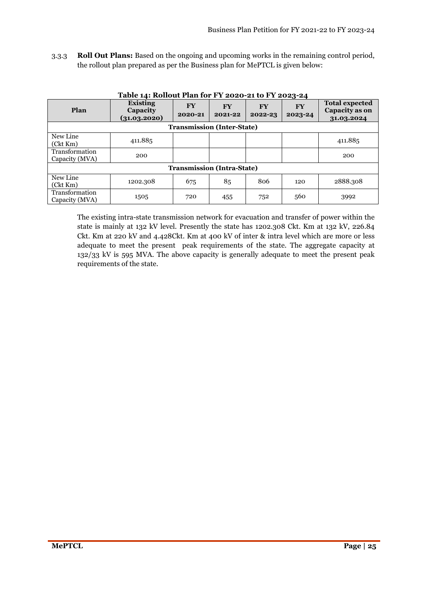3.3.3 **Roll Out Plans:** Based on the ongoing and upcoming works in the remaining control period, the rollout plan prepared as per the Business plan for MePTCL is given below:

| Plan                             | <b>Existing</b><br>Capacity<br>(31.03.2020) | <b>FY</b><br>2020-21 | <b>FY</b><br>2021-22              | <b>FY</b><br>2022-23 | <b>FY</b><br>2023-24 | <b>Total expected</b><br>Capacity as on<br>31.03.2024 |
|----------------------------------|---------------------------------------------|----------------------|-----------------------------------|----------------------|----------------------|-------------------------------------------------------|
|                                  |                                             |                      | <b>Transmission (Inter-State)</b> |                      |                      |                                                       |
| New Line<br>(Ckt Km)             | 411.885                                     |                      |                                   |                      |                      | 411.885                                               |
| Transformation<br>Capacity (MVA) | 200                                         |                      |                                   |                      |                      | 200                                                   |
|                                  |                                             |                      | <b>Transmission (Intra-State)</b> |                      |                      |                                                       |
| New Line<br>(Ckt Km)             | 1202.308                                    | 675                  | 85                                | 806                  | 120                  | 2888.308                                              |
| Transformation<br>Capacity (MVA) | 1505                                        | 720                  | 455                               | 752                  | 560                  | 3992                                                  |

**Table 14: Rollout Plan for FY 2020-21 to FY 2023-24**

The existing intra-state transmission network for evacuation and transfer of power within the state is mainly at 132 kV level. Presently the state has 1202.308 Ckt. Km at 132 kV, 226.84 Ckt. Km at 220 kV and 4.428Ckt. Km at 400 kV of inter & intra level which are more or less adequate to meet the present peak requirements of the state. The aggregate capacity at 132/33 kV is 595 MVA. The above capacity is generally adequate to meet the present peak requirements of the state.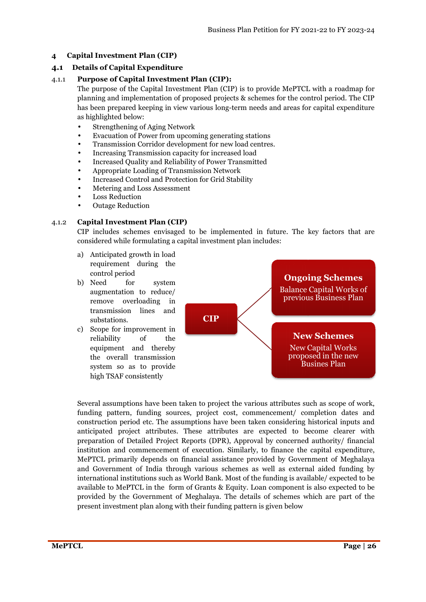### **4 Capital Investment Plan (CIP)**

### **4.1 Details of Capital Expenditure**

### 4.1.1 **Purpose of Capital Investment Plan (CIP):**

The purpose of the Capital Investment Plan (CIP) is to provide MePTCL with a roadmap for planning and implementation of proposed projects & schemes for the control period. The CIP has been prepared keeping in view various long-term needs and areas for capi capital expenditure as highlighted below:

- Strengthening of Aging Network
- Evacuation of Power from upcoming generating stations
- Transmission Corridor development for new load centres.
- Increasing Transmission capacity for increased load
- Increased Quality and Reliability of Power Transmitted
- Appropriate Loading of Transmission Network
- Increased Control and Protection for Grid Stability
- Metering and Loss Assessment
- Loss Reduction
- Outage Reduction

### 4.1.2 **Capital Investment Plan Plan (CIP)**

CIP includes schemes envisaged to be implemented in future. The key factors that are considered while formulating a capital investment plan includes:

- a) Anticipated growth in load requirement during the control period
- b) Need for system augmentation to reduce/ remove overloading in transmission lines and substations.
- c) Scope for improvement in reliability of the equipment and thereby the overall transmission system so as to provide high TSAF consistently



Several assumptions have been taken to project the various attributes such as scope of work, funding pattern, funding sources, project cost, commencement/ completion dates and construction period etc. The assumptions have been taken considering historical inputs and anticipated project attributes. These attributes are expected to become clearer with Several assumptions have been taken to project the various attributes such as scope of work, funding pattern, funding sources, project cost, commencement/ completion dates and construction period etc. The assumptions have institution and commencement of execution. Similarly, to finance the capital expenditure, MePTCL primarily depends on financial assistance provided by Government of and Government of India through various schemes as well as external aided funding by international institutions such as World Bank. Most of the funding is available/ expected to be available to MePTCL in the form of Grants & Equity. Loan component is also expected to be provided by the Government of Meghalaya. The details of schemes which are part of the present investment plan along with their funding pattern is given below , Approval by concerned authority/ financial<br>Similarly, to finance the capital expenditure,<br>ance provided by Government of Meghalaya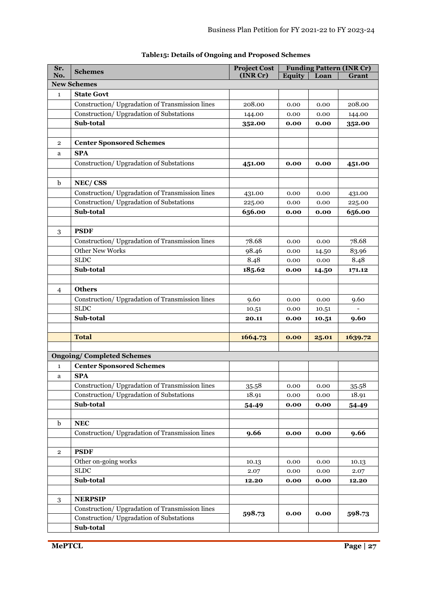| Sr.            | <b>Schemes</b>                                  | <b>Project Cost</b> |               |       | <b>Funding Pattern (INR Cr)</b> |
|----------------|-------------------------------------------------|---------------------|---------------|-------|---------------------------------|
| No.            |                                                 | (INR Cr)            | <b>Equity</b> | Loan  | Grant                           |
|                | <b>New Schemes</b>                              |                     |               |       |                                 |
| $\mathbf{1}$   | <b>State Govt</b>                               |                     |               |       |                                 |
|                | Construction/Upgradation of Transmission lines  | 208.00              | 0.00          | 0.00  | 208.00                          |
|                | Construction/ Upgradation of Substations        | 144.00              | 0.00          | 0.00  | 144.00                          |
|                | Sub-total                                       | 352.00              | 0.00          | 0.00  | 352.00                          |
|                |                                                 |                     |               |       |                                 |
| $\overline{2}$ | <b>Center Sponsored Schemes</b>                 |                     |               |       |                                 |
| a              | <b>SPA</b>                                      |                     |               |       |                                 |
|                | Construction/ Upgradation of Substations        | 451.00              | 0.00          | 0.00  | 451.00                          |
|                |                                                 |                     |               |       |                                 |
| b              | NEC/CSS                                         |                     |               |       |                                 |
|                | Construction/ Upgradation of Transmission lines | 431.00              | 0.00          | 0.00  | 431.00                          |
|                | Construction/ Upgradation of Substations        | 225.00              | 0.00          | 0.00  | 225.00                          |
|                | Sub-total                                       | 656.00              | 0.00          | 0.00  | 656.00                          |
|                |                                                 |                     |               |       |                                 |
| 3              | <b>PSDF</b>                                     |                     |               |       |                                 |
|                | Construction/Upgradation of Transmission lines  | 78.68               | 0.00          | 0.00  | 78.68                           |
|                | <b>Other New Works</b>                          | 98.46               | 0.00          | 14.50 | 83.96                           |
|                | <b>SLDC</b>                                     | 8.48                | 0.00          | 0.00  | 8.48                            |
|                | Sub-total                                       | 185.62              | 0.00          | 14.50 | 171.12                          |
|                |                                                 |                     |               |       |                                 |
| 4              | <b>Others</b>                                   |                     |               |       |                                 |
|                | Construction/ Upgradation of Transmission lines | 9.60                | 0.00          | 0.00  | 9.60                            |
|                | <b>SLDC</b>                                     | 10.51               | 0.00          | 10.51 |                                 |
|                | Sub-total                                       | 20.11               | 0.00          | 10.51 | 9.60                            |
|                |                                                 |                     |               |       |                                 |
|                | <b>Total</b>                                    | 1664.73             | 0.00          | 25.01 | 1639.72                         |
|                |                                                 |                     |               |       |                                 |
|                | <b>Ongoing/Completed Schemes</b>                |                     |               |       |                                 |
| $\mathbf{1}$   | <b>Center Sponsored Schemes</b>                 |                     |               |       |                                 |
| a              | <b>SPA</b>                                      |                     |               |       |                                 |
|                | Construction/Upgradation of Transmission lines  | 35.58               | 0.00          | 0.00  | 35.58                           |
|                | Construction/ Upgradation of Substations        | 18.91               | 0.00          | 0.00  | 18.91                           |
|                | Sub-total                                       | 54.49               | 0.00          | 0.00  | 54.49                           |
|                |                                                 |                     |               |       |                                 |
| $\mathbf b$    | NEC                                             |                     |               |       |                                 |
|                | Construction/Upgradation of Transmission lines  | 9.66                | 0.00          | 0.00  | 9.66                            |
|                |                                                 |                     |               |       |                                 |
| $\overline{2}$ | <b>PSDF</b>                                     |                     |               |       |                                 |
|                | Other on-going works                            | 10.13               | 0.00          | 0.00  | 10.13                           |
|                | <b>SLDC</b>                                     | 2.07                | 0.00          | 0.00  | 2.07                            |
|                | Sub-total                                       | 12.20               | 0.00          | 0.00  | 12.20                           |
|                |                                                 |                     |               |       |                                 |
| $\,3$          | <b>NERPSIP</b>                                  |                     |               |       |                                 |
|                | Construction/ Upgradation of Transmission lines | 598.73              | 0.00          | 0.00  | 598.73                          |
|                | Construction/ Upgradation of Substations        |                     |               |       |                                 |
|                | Sub-total                                       |                     |               |       |                                 |

### **Table15: Details of Ongoing and Proposed Schemes**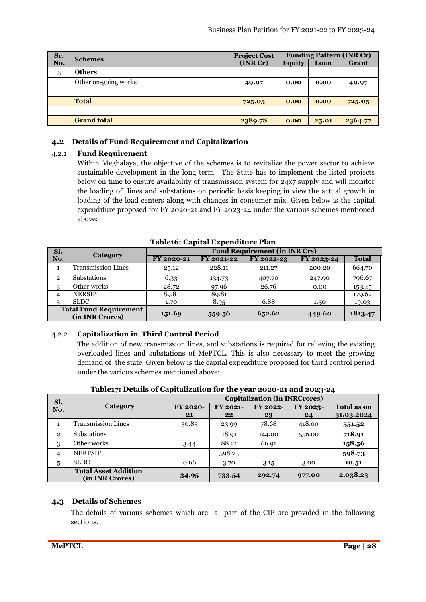| Sr. | <b>Schemes</b>       | <b>Project Cost</b> | <b>Funding Pattern (INR Cr)</b> |       |         |  |
|-----|----------------------|---------------------|---------------------------------|-------|---------|--|
| No. |                      | (INR Cr)            | Equity                          | Loan  | Grant   |  |
| 5   | <b>Others</b>        |                     |                                 |       |         |  |
|     | Other on-going works | 49.97               | 0.00                            | 0.00  | 49.97   |  |
|     |                      |                     |                                 |       |         |  |
|     | <b>Total</b>         | 725.05              | 0.00                            | 0.00  | 725.05  |  |
|     |                      |                     |                                 |       |         |  |
|     | <b>Grand total</b>   | 2389.78             | 0.00                            | 25.01 | 2364.77 |  |

### **4.2 Details of Fund Requirement and Capitalization**

### 4.2.1 **Fund Requirement**

Within Meghalaya, the objective of the schemes is to revitalize the power sector to achieve sustainable development in the long term. The State has to implement the listed projects below on time to ensure availability of transmission system for 24x7 supply and will monitor the loading of lines and substations on periodic basis keeping in view the actual growth in loading of the load centers along with changes in consumer mix. Given below is the capital expenditure proposed for FY 2020-21 and FY 2023-24 under the various schemes mentioned above:

| Sl.                                              | Category                  | <b>Fund Requirement (in INR Crs)</b> |            |            |            |              |  |  |
|--------------------------------------------------|---------------------------|--------------------------------------|------------|------------|------------|--------------|--|--|
| No.                                              |                           | FY 2020-21                           | FY 2021-22 | FY 2022-23 | FY 2023-24 | <b>Total</b> |  |  |
|                                                  | <b>Transmission Lines</b> | 25.12                                | 228.11     | 211.27     | 200.20     | 664.70       |  |  |
| $\overline{2}$                                   | Substations               | 6.33                                 | 134.73     | 407.70     | 247.90     | 796.67       |  |  |
| 3                                                | Other works               | 28.72                                | 97.96      | 26.76      | 0.00       | 153.45       |  |  |
| 4                                                | <b>NERSIP</b>             | 89.81                                | 89.81      |            |            | 179.62       |  |  |
| 5                                                | <b>SLDC</b>               | 1.70                                 | 8.95       | 6.88       | 1.50       | 19.03        |  |  |
| <b>Total Fund Requirement</b><br>(in INR Crores) |                           | 151.69                               | 559.56     | 652.62     | 449.60     | 1813.47      |  |  |

**Table16: Capital Expenditure Plan** 

### 4.2.2 **Capitalization in Third Control Period**

The addition of new transmission lines, and substations is required for relieving the existing overloaded lines and substations of MePTCL. This is also necessary to meet the growing demand of the state. Given below is the capital expenditure proposed for third control period under the various schemes mentioned above:

| Sl.            |                                                | <b>Capitalization (in INRCrores)</b> |          |          |          |                    |  |  |  |  |  |
|----------------|------------------------------------------------|--------------------------------------|----------|----------|----------|--------------------|--|--|--|--|--|
| No.            | Category                                       | <b>FY 2020-</b>                      | FY 2021- | FY 2022- | FY 2023- | <b>Total as on</b> |  |  |  |  |  |
|                |                                                | 21                                   | $22 \,$  | 23       | 24       | 31.03.2024         |  |  |  |  |  |
| 1              | <b>Transmission Lines</b>                      | 30.85                                | 23.99    | 78.68    | 418.00   | 551.52             |  |  |  |  |  |
| $\overline{2}$ | <b>Substations</b>                             |                                      | 18.91    | 144.00   | 556.00   | 718.91             |  |  |  |  |  |
| 3              | Other works                                    | 3.44                                 | 88.21    | 66.91    |          | 158.56             |  |  |  |  |  |
| 4              | <b>NERPSIP</b>                                 |                                      | 598.73   |          |          | 598.73             |  |  |  |  |  |
| 5              | <b>SLDC</b>                                    | 0.66                                 | 3.70     | 3.15     | 3.00     | 10.51              |  |  |  |  |  |
|                | <b>Total Asset Addition</b><br>(in INR Crores) | 34.95                                | 733.54   | 292.74   | 977.00   | 2,038.23           |  |  |  |  |  |

**Table17: Details of Capitalization for the year 2020-21 and 2023-24** 

### **4.3 Details of Schemes**

The details of various schemes which are a part of the CIP are provided in the following sections.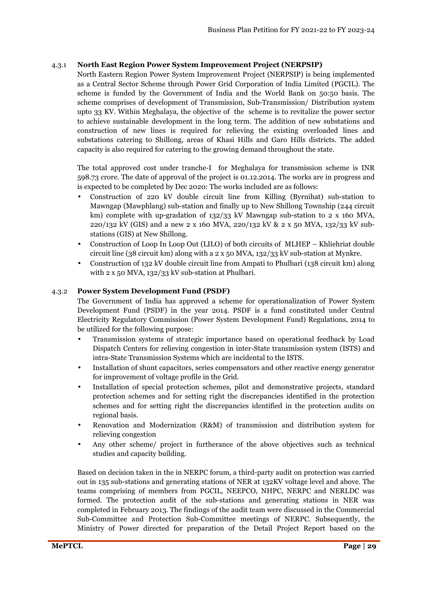### 4.3.1 **North East Region Power System Improvement Project (NERPSIP)**

North Eastern Region Power System Improvement Project (NERPSIP) is being implemented as a Central Sector Scheme through Power Grid Corporation of India Limited (PGCIL). The scheme is funded by the Government of India and the World Bank on 50:50 basis. The scheme comprises of development of Transmission, Sub-Transmission/ Distribution system upto 33 KV. Within Meghalaya, the objective of the scheme is to revitalize the power sector to achieve sustainable development in the long term. The addition of new substations and construction of new lines is required for relieving the existing overloaded lines and substations catering to Shillong, areas of Khasi Hills and Garo Hills districts. The added capacity is also required for catering to the growing demand throughout the state.

The total approved cost under tranche-I for Meghalaya for transmission scheme is INR 598.73 crore. The date of approval of the project is 01.12.2014. The works are in progress and is expected to be completed by Dec 2020: The works included are as follows:

- Construction of 220 kV double circuit line from Killing (Byrnihat) sub-station to Mawngap (Mawphlang) sub-station and finally up to New Shillong Township (244 circuit km) complete with up-gradation of 132/33 kV Mawngap sub-station to 2 x 160 MVA, 220/132 kV (GIS) and a new 2 x 160 MVA, 220/132 kV & 2 x 50 MVA, 132/33 kV substations (GIS) at New Shillong.
- Construction of Loop In Loop Out (LILO) of both circuits of MLHEP Khliehriat double circuit line (38 circuit km) along with a 2 x 50 MVA, 132/33 kV sub-station at Mynkre.
- Construction of 132 kV double circuit line from Ampati to Phulbari (138 circuit km) along with 2 x 50 MVA, 132/33 kV sub-station at Phulbari.

### 4.3.2 **Power System Development Fund (PSDF)**

The Government of India has approved a scheme for operationalization of Power System Development Fund (PSDF) in the year 2014. PSDF is a fund constituted under Central Electricity Regulatory Commission (Power System Development Fund) Regulations, 2014 to be utilized for the following purpose:

- Transmission systems of strategic importance based on operational feedback by Load Dispatch Centers for relieving congestion in inter-State transmission system (ISTS) and intra-State Transmission Systems which are incidental to the ISTS.
- Installation of shunt capacitors, series compensators and other reactive energy generator for improvement of voltage profile in the Grid.
- Installation of special protection schemes, pilot and demonstrative projects, standard protection schemes and for setting right the discrepancies identified in the protection schemes and for setting right the discrepancies identified in the protection audits on regional basis.
- Renovation and Modernization (R&M) of transmission and distribution system for relieving congestion
- Any other scheme/ project in furtherance of the above objectives such as technical studies and capacity building.

Based on decision taken in the in NERPC forum, a third-party audit on protection was carried out in 135 sub-stations and generating stations of NER at 132KV voltage level and above. The teams comprising of members from PGCIL, NEEPCO, NHPC, NERPC and NERLDC was formed. The protection audit of the sub-stations and generating stations in NER was completed in February 2013. The findings of the audit team were discussed in the Commercial Sub-Committee and Protection Sub-Committee meetings of NERPC. Subsequently, the Ministry of Power directed for preparation of the Detail Project Report based on the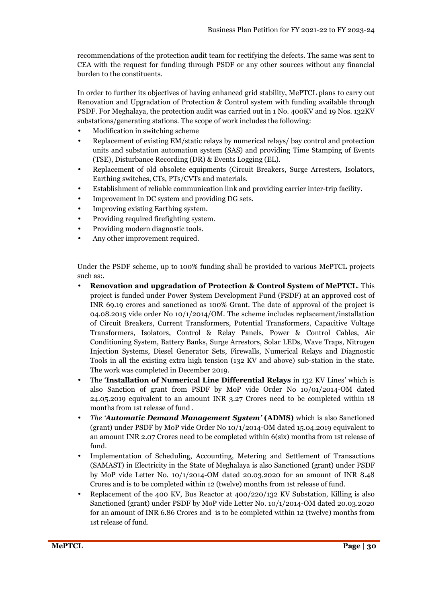recommendations of the protection audit team for rectifying the defects. The same was sent to CEA with the request for funding through PSDF or any other sources without any financial burden to the constituents.

In order to further its objectives of having enhanced grid stability, MePTCL plans to carry out Renovation and Upgradation of Protection & Control system with funding available through PSDF. For Meghalaya, the protection audit was carried out in 1 No. 400KV and 19 Nos. 132KV substations/generating stations. The scope of work includes the following:

- Modification in switching scheme
- Replacement of existing EM/static relays by numerical relays/ bay control and protection units and substation automation system (SAS) and providing Time Stamping of Events (TSE), Disturbance Recording (DR) & Events Logging (EL).
- Replacement of old obsolete equipments (Circuit Breakers, Surge Arresters, Isolators, Earthing switches, CTs, PTs/CVTs and materials.
- Establishment of reliable communication link and providing carrier inter-trip facility.
- Improvement in DC system and providing DG sets.
- Improving existing Earthing system.
- Providing required firefighting system.
- Providing modern diagnostic tools.
- Any other improvement required.

Under the PSDF scheme, up to 100% funding shall be provided to various MePTCL projects such as:.

- **Renovation and upgradation of Protection & Control System of MePTCL**. This project is funded under Power System Development Fund (PSDF) at an approved cost of INR 69.19 crores and sanctioned as 100% Grant. The date of approval of the project is 04.08.2015 vide order No 10/1/2014/OM. The scheme includes replacement/installation of Circuit Breakers, Current Transformers, Potential Transformers, Capacitive Voltage Transformers, Isolators, Control & Relay Panels, Power & Control Cables, Air Conditioning System, Battery Banks, Surge Arrestors, Solar LEDs, Wave Traps, Nitrogen Injection Systems, Diesel Generator Sets, Firewalls, Numerical Relays and Diagnostic Tools in all the existing extra high tension (132 KV and above) sub-station in the state. The work was completed in December 2019.
- The '**Installation of Numerical Line Differential Relays** in 132 KV Lines' which is also Sanction of grant from PSDF by MoP vide Order No 10/01/2014-OM dated 24.05.2019 equivalent to an amount INR 3.27 Crores need to be completed within 18 months from 1st release of fund *.*
- *The 'Automatic Demand Management System'* **(ADMS)** which is also Sanctioned (grant) under PSDF by MoP vide Order No 10/1/2014-OM dated 15.04.2019 equivalent to an amount INR 2.07 Crores need to be completed within 6(six) months from 1st release of fund.
- Implementation of Scheduling, Accounting, Metering and Settlement of Transactions (SAMAST) in Electricity in the State of Meghalaya is also Sanctioned (grant) under PSDF by MoP vide Letter No. 10/1/2014-OM dated 20.03.2020 for an amount of INR 8.48 Crores and is to be completed within 12 (twelve) months from 1st release of fund.
- Replacement of the 400 KV, Bus Reactor at 400/220/132 KV Substation, Killing is also Sanctioned (grant) under PSDF by MoP vide Letter No. 10/1/2014-OM dated 20.03.2020 for an amount of INR 6.86 Crores and is to be completed within 12 (twelve) months from 1st release of fund.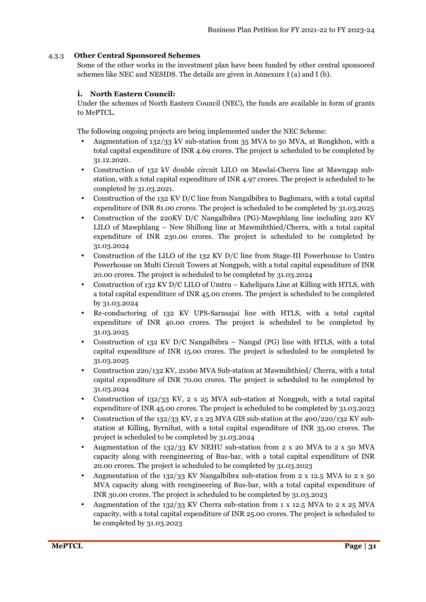### 4.3.3 **Other Central Sponsored Schemes**

Some of the other works in the investment plan have been funded by other central sponsored schemes like NEC and NESIDS. The details are given in Annexure I (a) and I (b).

### **i. North Eastern Council:**

Under the schemes of North Eastern Council (NEC), the funds are available in form of grants to MePTCL.

The following ongoing projects are being implemented under the NEC Scheme:

- Augmentation of 132/33 kV sub-station from 35 MVA to 50 MVA, at Rongkhon, with a total capital expenditure of INR 4.69 crores. The project is scheduled to be completed by 31.12.2020.
- Construction of 132 kV double circuit LILO on Mawlai-Cherra line at Mawngap substation, with a total capital expenditure of INR 4.97 crores. The project is scheduled to be completed by 31.03.2021.
- Construction of the 132 KV D/C line from Nangalbibra to Baghmara, with a total capital expenditure of INR 81.00 crores. The project is scheduled to be completed by 31.03.2025
- Construction of the 220KV D/C Nangalbibra (PG)-Mawphlang line including 220 KV LILO of Mawphlang – New Shillong line at Mawmihthied/Cherra, with a total capital expenditure of INR 230.00 crores. The project is scheduled to be completed by 31.03.2024
- Construction of the LILO of the 132 KV D/C line from Stage-III Powerhouse to Umtru Powerhouse on Multi Circuit Towers at Nongpoh, with a total capital expenditure of INR 20.00 crores. The project is scheduled to be completed by 31.03.2024
- Construction of 132 KV D/C LILO of Umtru Kahelipara Line at Killing with HTLS, with a total capital expenditure of INR 45.00 crores. The project is scheduled to be completed by 31.03.2024
- Re-conductoring of 132 KV UPS-Sarusajai line with HTLS, with a total capital expenditure of INR 40.00 crores. The project is scheduled to be completed by 31.03.2025
- Construction of 132 KV D/C Nangalbibra Nangal (PG) line with HTLS, with a total capital expenditure of INR 15.00 crores. The project is scheduled to be completed by 31.03.2025
- Construction 220/132 KV, 2x160 MVA Sub-station at Mawmihthied/ Cherra, with a total capital expenditure of INR 70.00 crores. The project is scheduled to be completed by 31.03.2024
- Construction of  $132/33$  KV, 2 x 25 MVA sub-station at Nongpoh, with a total capital expenditure of INR 45.00 crores. The project is scheduled to be completed by 31.03.2023
- Construction of the 132/33 KV,  $2 \times 25$  MVA GIS sub-station at the 400/220/132 KV substation at Killing, Byrnihat, with a total capital expenditure of INR 35.00 crores. The project is scheduled to be completed by 31.03.2024
- Augmentation of the  $132/33$  KV NEHU sub-station from 2 x 20 MVA to 2 x 50 MVA capacity along with reengineering of Bus-bar, with a total capital expenditure of INR 20.00 crores. The project is scheduled to be completed by 31.03.2023
- Augmentation of the 132/33 KV Nangalbibra sub-station from 2 x 12.5 MVA to 2 x 50 MVA capacity along with reengineering of Bus-bar, with a total capital expenditure of INR 30.00 crores. The project is scheduled to be completed by 31.03.2023
- Augmentation of the 132/33 KV Cherra sub-station from 1 x 12.5 MVA to 2 x 25 MVA capacity, with a total capital expenditure of INR 25.00 crores. The project is scheduled to be completed by 31.03.2023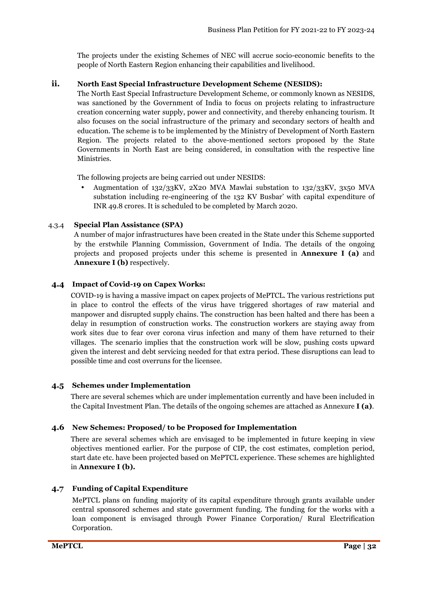The projects under the existing Schemes of NEC will accrue socio-economic benefits to the people of North Eastern Region enhancing their capabilities and livelihood.

### **ii. North East Special Infrastructure Development Scheme (NESIDS):**

The North East Special Infrastructure Development Scheme, or commonly known as NESIDS, was sanctioned by the Government of India to focus on projects relating to infrastructure creation concerning water supply, power and connectivity, and thereby enhancing tourism. It also focuses on the social infrastructure of the primary and secondary sectors of health and education. The scheme is to be implemented by the Ministry of Development of North Eastern Region. The projects related to the above-mentioned sectors proposed by the State Governments in North East are being considered, in consultation with the respective line Ministries.

The following projects are being carried out under NESIDS:

• Augmentation of 132/33KV, 2X20 MVA Mawlai substation to 132/33KV, 3x50 MVA substation including re-engineering of the 132 KV Busbar' with capital expenditure of INR 49.8 crores. It is scheduled to be completed by March 2020.

### 4.3.4 **Special Plan Assistance (SPA)**

A number of major infrastructures have been created in the State under this Scheme supported by the erstwhile Planning Commission, Government of India. The details of the ongoing projects and proposed projects under this scheme is presented in **Annexure I (a)** and **Annexure I (b)** respectively.

### **4.4 Impact of Covid-19 on Capex Works:**

COVID-19 is having a massive impact on capex projects of MePTCL. The various restrictions put in place to control the effects of the virus have triggered shortages of raw material and manpower and disrupted supply chains. The construction has been halted and there has been a delay in resumption of construction works. The construction workers are staying away from work sites due to fear over corona virus infection and many of them have returned to their villages. The scenario implies that the construction work will be slow, pushing costs upward given the interest and debt servicing needed for that extra period. These disruptions can lead to possible time and cost overruns for the licensee.

### **4.5 Schemes under Implementation**

There are several schemes which are under implementation currently and have been included in the Capital Investment Plan. The details of the ongoing schemes are attached as Annexure **I (a)**.

### **4.6 New Schemes: Proposed/ to be Proposed for Implementation**

There are several schemes which are envisaged to be implemented in future keeping in view objectives mentioned earlier. For the purpose of CIP, the cost estimates, completion period, start date etc. have been projected based on MePTCL experience. These schemes are highlighted in **Annexure I (b).** 

### **4.7 Funding of Capital Expenditure**

MePTCL plans on funding majority of its capital expenditure through grants available under central sponsored schemes and state government funding. The funding for the works with a loan component is envisaged through Power Finance Corporation/ Rural Electrification Corporation.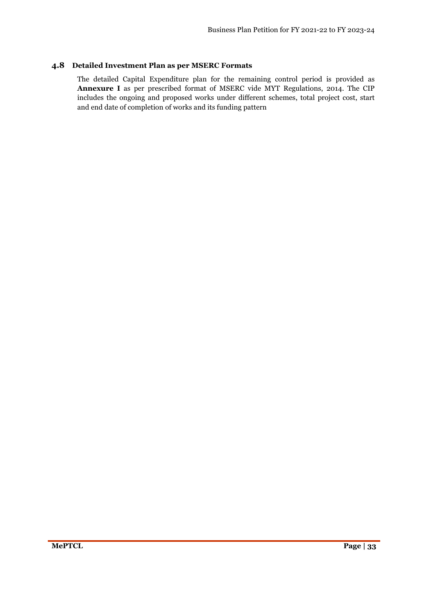### **4.8 Detailed Investment Plan as per MSERC Formats**

The detailed Capital Expenditure plan for the remaining control period is provided as **Annexure I** as per prescribed format of MSERC vide MYT Regulations, 2014. The CIP includes the ongoing and proposed works under different schemes, total project cost, start and end date of completion of works and its funding pattern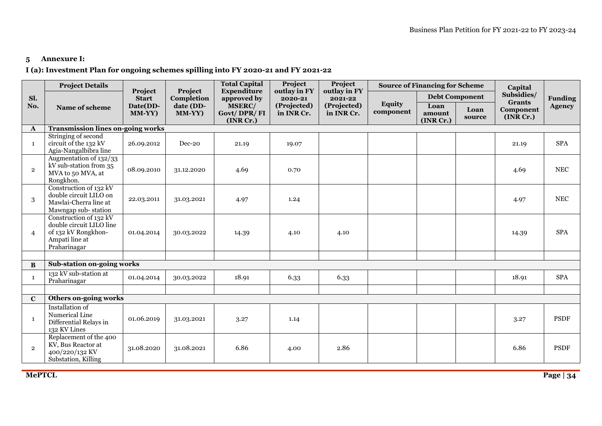## **5 Annexure I:**

### **I (a): Investment Plan for ongoing schemes spilling into FY 2020-21 and FY 2021-22**

|                | <b>Project Details</b>                                                                                      |                         |                       | <b>Total Capital</b>                      | Project                   | Project                   |                            | <b>Source of Financing for Scheme</b> |                       | Capital                                 |                      |
|----------------|-------------------------------------------------------------------------------------------------------------|-------------------------|-----------------------|-------------------------------------------|---------------------------|---------------------------|----------------------------|---------------------------------------|-----------------------|-----------------------------------------|----------------------|
| Sl.            |                                                                                                             | Project<br><b>Start</b> | Project<br>Completion | <b>Expenditure</b><br>approved by         | outlay in FY<br>2020-21   | outlay in FY<br>2021-22   |                            |                                       | <b>Debt Component</b> | Subsidies/                              | <b>Funding</b>       |
| No.            | Name of scheme                                                                                              | Date(DD-<br>MM-YY)      | date (DD-<br>MM-YY)   | <b>MSERC/</b><br>Govt/DPR/FI<br>(INR Cr.) | (Projected)<br>in INR Cr. | (Projected)<br>in INR Cr. | <b>Equity</b><br>component | Loan<br>amount<br>(INR Cr.)           | Loan<br>source        | <b>Grants</b><br>Component<br>(INR Cr.) | <b>Agency</b>        |
| $\mathbf{A}$   | <b>Transmission lines on-going works</b>                                                                    |                         |                       |                                           |                           |                           |                            |                                       |                       |                                         |                      |
| -1             | Stringing of second<br>circuit of the 132 kV<br>Agia-Nangalbibra line                                       | 26.09.2012              | Dec-20                | 21.19                                     | 19.07                     |                           |                            |                                       |                       | 21.19                                   | <b>SPA</b>           |
| $\overline{2}$ | Augmentation of 132/33<br>kV sub-station from 35<br>MVA to 50 MVA, at<br>Rongkhon.                          | 08.09.2010              | 31.12.2020            | 4.69                                      | 0.70                      |                           |                            |                                       |                       | 4.69                                    | $\operatorname{NEC}$ |
| 3              | Construction of 132 kV<br>double circuit LILO on<br>Mawlai-Cherra line at<br>Mawngap sub-station            | 22.03.2011              | 31.03.2021            | 4.97                                      | 1.24                      |                           |                            |                                       |                       | 4.97                                    | $\operatorname{NEC}$ |
| $\overline{4}$ | Construction of 132 kV<br>double circuit LILO line<br>of 132 kV Rongkhon-<br>Ampati line at<br>Praharinagar | 01.04.2014              | 30.03.2022            | 14.39                                     | 4.10                      | 4.10                      |                            |                                       |                       | 14.39                                   | <b>SPA</b>           |
|                |                                                                                                             |                         |                       |                                           |                           |                           |                            |                                       |                       |                                         |                      |
| $\bf{B}$       | Sub-station on-going works                                                                                  |                         |                       |                                           |                           |                           |                            |                                       |                       |                                         |                      |
| -1             | 132 kV sub-station at<br>Praharinagar                                                                       | 01.04.2014              | 30.03.2022            | 18.91                                     | 6.33                      | 6.33                      |                            |                                       |                       | 18.91                                   | <b>SPA</b>           |
|                |                                                                                                             |                         |                       |                                           |                           |                           |                            |                                       |                       |                                         |                      |
| $\mathbf C$    | <b>Others on-going works</b>                                                                                |                         |                       |                                           |                           |                           |                            |                                       |                       |                                         |                      |
| $\mathbf{1}$   | Installation of<br>Numerical Line<br>Differential Relays in<br>132 KV Lines                                 | 01.06.2019              | 31.03.2021            | 3.27                                      | 1.14                      |                           |                            |                                       |                       | 3.27                                    | <b>PSDF</b>          |
| $\overline{2}$ | Replacement of the 400<br>KV, Bus Reactor at<br>400/220/132 KV<br>Substation, Killing                       | 31.08.2020              | 31.08.2021            | 6.86                                      | 4.00                      | 2.86                      |                            |                                       |                       | 6.86                                    | <b>PSDF</b>          |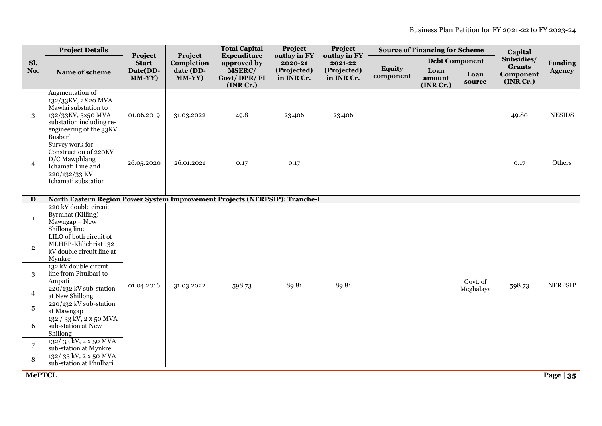|                | <b>Project Details</b>                                                                                                                                |                         |                       | <b>Total Capital</b>               | Project                   | Project<br>outlay in FY   |                            | <b>Source of Financing for Scheme</b> |                | Capital                     |                |
|----------------|-------------------------------------------------------------------------------------------------------------------------------------------------------|-------------------------|-----------------------|------------------------------------|---------------------------|---------------------------|----------------------------|---------------------------------------|----------------|-----------------------------|----------------|
| Sl.            |                                                                                                                                                       | Project<br><b>Start</b> | Project<br>Completion | <b>Expenditure</b><br>approved by  | outlay in FY<br>2020-21   | 2021-22                   |                            | <b>Debt Component</b>                 |                | Subsidies/<br><b>Grants</b> | <b>Funding</b> |
| No.            | Name of scheme                                                                                                                                        | Date(DD-<br>MM-YY)      | date (DD-<br>MM-YY)   | MSERC/<br>Govt/DPR/FI<br>(INR Cr.) | (Projected)<br>in INR Cr. | (Projected)<br>in INR Cr. | <b>Equity</b><br>component | Loan<br>amount<br>(INR Cr.)           | Loan<br>source | Component<br>(INR Cr.)      | <b>Agency</b>  |
| $\sqrt{3}$     | Augmentation of<br>132/33KV, 2X20 MVA<br>Mawlai substation to<br>132/33KV, 3x50 MVA<br>substation including re-<br>engineering of the 33KV<br>Busbar' | 01.06.2019              | 31.03.2022            | 49.8                               | 23.406                    | 23.406                    |                            |                                       |                | 49.80                       | <b>NESIDS</b>  |
| $\overline{4}$ | Survey work for<br>Construction of 220KV<br>D/C Mawphlang<br>Ichamati Line and<br>220/132/33 KV<br>Ichamati substation                                | 26.05.2020              | 26.01.2021            | 0.17                               | 0.17                      |                           |                            |                                       |                | 0.17                        | Others         |
|                |                                                                                                                                                       |                         |                       |                                    |                           |                           |                            |                                       |                |                             |                |
| D              | North Eastern Region Power System Improvement Projects (NERPSIP): Tranche-I                                                                           |                         |                       |                                    |                           |                           |                            |                                       |                |                             |                |
| $\mathbf{1}$   | 220 kV double circuit<br>Byrnihat (Killing) –<br>$Mawngap - New$<br>Shillong line                                                                     |                         |                       |                                    |                           |                           |                            |                                       |                |                             |                |
| $\overline{2}$ | LILO of both circuit of<br>MLHEP-Khliehriat 132<br>kV double circuit line at<br>Mynkre                                                                |                         |                       |                                    |                           |                           |                            |                                       |                |                             |                |
| 3              | 132 kV double circuit<br>line from Phulbari to<br>Ampati                                                                                              |                         |                       |                                    |                           |                           |                            |                                       | Govt. of       |                             |                |
| $\overline{4}$ | 220/132 kV sub-station<br>at New Shillong                                                                                                             | 01.04.2016              | 31.03.2022            | 598.73                             | 89.81                     | 89.81                     |                            |                                       | Meghalaya      | 598.73                      | <b>NERPSIP</b> |
| $\sqrt{5}$     | 220/132 kV sub-station<br>at Mawngap                                                                                                                  |                         |                       |                                    |                           |                           |                            |                                       |                |                             |                |
| 6              | 132 / 33 kV, 2 x 50 MVA<br>sub-station at New<br>Shillong                                                                                             |                         |                       |                                    |                           |                           |                            |                                       |                |                             |                |
| $\overline{7}$ | 132/33 kV, 2 x 50 MVA<br>sub-station at Mynkre                                                                                                        |                         |                       |                                    |                           |                           |                            |                                       |                |                             |                |
| 8              | 132/33 kV, 2 x 50 MVA<br>sub-station at Phulbari                                                                                                      |                         |                       |                                    |                           |                           |                            |                                       |                |                             |                |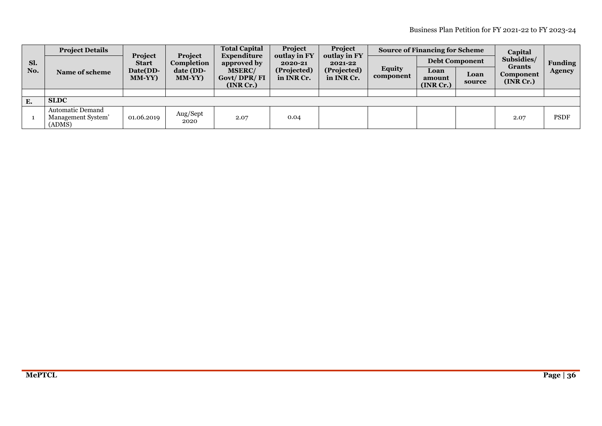|           | <b>Project Details</b>                                  | Project<br><b>Project</b> |                     | <b>Total Capital</b><br>Expenditure       | Project<br>outlay in FY   | Project<br>outlay in FY   |                            | <b>Source of Financing for Scheme</b> |                       | Capital                                |                |
|-----------|---------------------------------------------------------|---------------------------|---------------------|-------------------------------------------|---------------------------|---------------------------|----------------------------|---------------------------------------|-----------------------|----------------------------------------|----------------|
| Sl.       |                                                         | <b>Start</b>              | Completion          | approved by                               | 2020-21                   | 2021-22                   |                            |                                       | <b>Debt Component</b> | Subsidies/                             | <b>Funding</b> |
| No.       | <b>Name of scheme</b>                                   | Date(DD-<br><b>MM-YY)</b> | date (DD-<br>MM-YY) | <b>MSERC/</b><br>Govt/DPR/FI<br>(INR Cr.) | (Projected)<br>in INR Cr. | (Projected)<br>in INR Cr. | <b>Equity</b><br>component | Loan<br>amount<br>(INR Cr.)           | Loan<br>source        | <b>Grants</b><br>Component<br>(NR Cr.) | <b>Agency</b>  |
|           |                                                         |                           |                     |                                           |                           |                           |                            |                                       |                       |                                        |                |
| <b>E.</b> | <b>SLDC</b>                                             |                           |                     |                                           |                           |                           |                            |                                       |                       |                                        |                |
|           | <b>Automatic Demand</b><br>Management System'<br>(ADMS) | 01.06.2019                | Aug/Sept<br>2020    | 2.07                                      | 0.04                      |                           |                            |                                       |                       | 2.07                                   | <b>PSDF</b>    |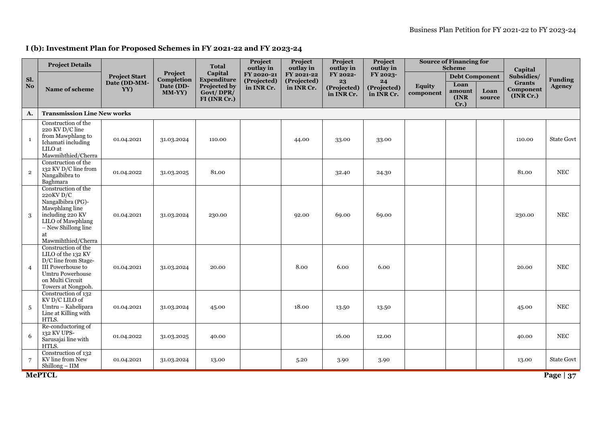### **I (b): Investment Plan for Proposed Schemes in FY 2021-22 and FY 2023-24**

|              | <b>Project Details</b>                                                                                                                                                |                                             |                                              | <b>Total</b>                                                        | Project<br>outlay in                    | Project<br>outlay in                    | Project<br>outlay in                        | Project<br>outlay in                        |                            | <b>Source of Financing for</b><br><b>Scheme</b>            |                | Capital                                               |                                 |
|--------------|-----------------------------------------------------------------------------------------------------------------------------------------------------------------------|---------------------------------------------|----------------------------------------------|---------------------------------------------------------------------|-----------------------------------------|-----------------------------------------|---------------------------------------------|---------------------------------------------|----------------------------|------------------------------------------------------------|----------------|-------------------------------------------------------|---------------------------------|
| Sl.<br>No.   | Name of scheme                                                                                                                                                        | <b>Project Start</b><br>Date (DD-MM-<br>YY) | Project<br>Completion<br>Date (DD-<br>MM-YY) | Capital<br>Expenditure<br>Projected by<br>Govt/DPR/<br>FI (INR Cr.) | FY 2020-21<br>(Projected)<br>in INR Cr. | FY 2021-22<br>(Projected)<br>in INR Cr. | FY 2022-<br>23<br>(Projected)<br>in INR Cr. | FY 2023-<br>24<br>(Projected)<br>in INR Cr. | <b>Equity</b><br>component | <b>Debt Component</b><br>Loan<br>amount<br>(INR<br>$Cr.$ ) | Loan<br>source | Subsidies/<br><b>Grants</b><br>Component<br>(INR Cr.) | <b>Funding</b><br><b>Agency</b> |
| A.           | <b>Transmission Line New works</b>                                                                                                                                    |                                             |                                              |                                                                     |                                         |                                         |                                             |                                             |                            |                                                            |                |                                                       |                                 |
| $\mathbf{1}$ | Construction of the<br>220 KV D/C line<br>from Mawphlang to<br>Ichamati including<br>LILO at<br>Mawmihthied/Cherra                                                    | 01.04.2021                                  | 31.03.2024                                   | 110.00                                                              |                                         | 44.00                                   | 33.00                                       | 33.00                                       |                            |                                                            |                | 110.00                                                | <b>State Govt</b>               |
| $\mathbf{2}$ | Construction of the<br>132 KV D/C line from<br>Nangalbibra to<br>Baghmara                                                                                             | 01.04.2022                                  | 31.03.2025                                   | 81.00                                                               |                                         |                                         | 32.40                                       | 24.30                                       |                            |                                                            |                | 81.00                                                 | <b>NEC</b>                      |
| 3            | Construction of the<br>220KV D/C<br>Nangalbibra (PG)-<br>Mawphlang line<br>including 220 KV<br>LILO of Mawphlang<br>$-$ New Shillong line<br>at<br>Mawmihthied/Cherra | 01.04.2021                                  | 31.03.2024                                   | 230.00                                                              |                                         | 92.00                                   | 69.00                                       | 69.00                                       |                            |                                                            |                | 230.00                                                | <b>NEC</b>                      |
| 4            | Construction of the<br>LILO of the 132 KV<br>D/C line from Stage-<br>III Powerhouse to<br>Umtru Powerhouse<br>on Multi Circuit<br>Towers at Nongpoh.                  | 01.04.2021                                  | 31.03.2024                                   | 20.00                                                               |                                         | 8.00                                    | 6.00                                        | 6.00                                        |                            |                                                            |                | 20.00                                                 | <b>NEC</b>                      |
| 5            | Construction of $132$<br>KV D/C LILO of<br>Umtru - Kahelipara<br>Line at Killing with<br>HTLS.                                                                        | 01.04.2021                                  | 31.03.2024                                   | 45.00                                                               |                                         | 18.00                                   | 13.50                                       | 13.50                                       |                            |                                                            |                | 45.00                                                 | <b>NEC</b>                      |
| 6            | Re-conductoring of<br>132 KV UPS-<br>Sarusajai line with<br>HTLS.                                                                                                     | 01.04.2022                                  | 31.03.2025                                   | 40.00                                                               |                                         |                                         | 16.00                                       | 12.00                                       |                            |                                                            |                | 40.00                                                 | <b>NEC</b>                      |
| 7            | Construction of 132<br>KV line from New<br>Shillong - IIM                                                                                                             | 01.04.2021                                  | 31.03.2024                                   | 13.00                                                               |                                         | 5.20                                    | 3.90                                        | 3.90                                        |                            |                                                            |                | 13.00                                                 | <b>State Govt</b>               |
|              | <b>MePTCL</b>                                                                                                                                                         |                                             |                                              |                                                                     |                                         |                                         |                                             |                                             |                            |                                                            |                |                                                       | Page $ 37$                      |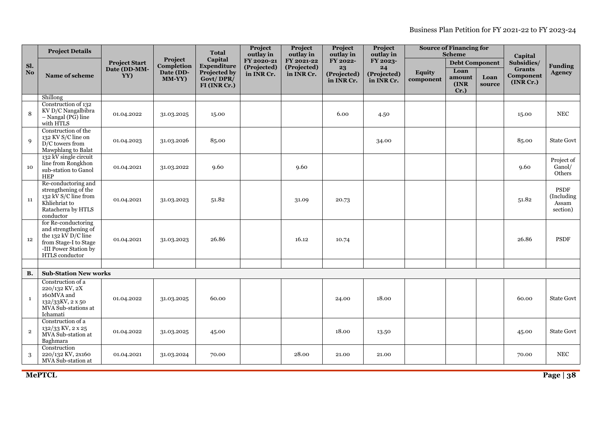Business Plan Petition for FY 2021-22 to FY 2023-24

|                        | <b>Project Details</b>                                                                                                                   |                      |                       | <b>Total</b>                              | Project<br>outlay in      | Project<br>outlay in      | Project<br>outlay in            | Project<br>outlay in            |                            | <b>Source of Financing for</b><br><b>Scheme</b> |                | Capital                                 |                                                |
|------------------------|------------------------------------------------------------------------------------------------------------------------------------------|----------------------|-----------------------|-------------------------------------------|---------------------------|---------------------------|---------------------------------|---------------------------------|----------------------------|-------------------------------------------------|----------------|-----------------------------------------|------------------------------------------------|
| Sl.                    |                                                                                                                                          | <b>Project Start</b> | Project<br>Completion | Capital<br><b>Expenditure</b>             | FY 2020-21<br>(Projected) | FY 2021-22<br>(Projected) | FY 2022-                        | FY 2023-                        |                            | <b>Debt Component</b>                           |                | Subsidies/                              | <b>Funding</b>                                 |
| $\mathbf{N}\mathbf{o}$ | Name of scheme                                                                                                                           | Date (DD-MM-<br>YY)  | Date (DD-<br>MM-YY)   | Projected by<br>Govt/DPR/<br>FI (INR Cr.) | in INR Cr.                | in INR Cr.                | 23<br>(Projected)<br>in INR Cr. | 24<br>(Projected)<br>in INR Cr. | <b>Equity</b><br>component | Loan<br>amount<br>(INR<br>$Cr.$ )               | Loan<br>source | <b>Grants</b><br>Component<br>(INR Cr.) | <b>Agency</b>                                  |
|                        | Shillong                                                                                                                                 |                      |                       |                                           |                           |                           |                                 |                                 |                            |                                                 |                |                                         |                                                |
| 8                      | Construction of 132<br>KV D/C Nangalbibra<br>$-$ Nangal (PG) line<br>with HTLS                                                           | 01.04.2022           | 31.03.2025            | 15.00                                     |                           |                           | 6.00                            | 4.50                            |                            |                                                 |                | 15.00                                   | $_{\rm NEC}$                                   |
| 9                      | Construction of the<br>132 KV S/C line on<br>D/C towers from<br>Mawphlang to Balat                                                       | 01.04.2023           | 31.03.2026            | 85.00                                     |                           |                           |                                 | 34.00                           |                            |                                                 |                | 85.00                                   | <b>State Govt</b>                              |
| 10                     | 132 kV single circuit<br>line from Rongkhon<br>sub-station to Ganol<br><b>HEP</b>                                                        | 01.04.2021           | 31.03.2022            | 9.60                                      |                           | 9.60                      |                                 |                                 |                            |                                                 |                | 9.60                                    | Project of<br>Ganol/<br>Others                 |
| 11                     | Re-conductoring and<br>strengthening of the<br>132 kV S/C line from<br>Khliehriat to<br>Ratacherra by HTLS<br>conductor                  | 01.04.2021           | 31.03.2023            | 51.82                                     |                           | 31.09                     | 20.73                           |                                 |                            |                                                 |                | 51.82                                   | <b>PSDF</b><br>(Including<br>Assam<br>section) |
| 12                     | for Re-conductoring<br>and strengthening of<br>the 132 kV $D/C$ line<br>from Stage-I to Stage<br>-III Power Station by<br>HTLS conductor | 01.04.2021           | 31.03.2023            | 26.86                                     |                           | 16.12                     | 10.74                           |                                 |                            |                                                 |                | 26.86                                   | PSDF                                           |
|                        |                                                                                                                                          |                      |                       |                                           |                           |                           |                                 |                                 |                            |                                                 |                |                                         |                                                |
| <b>B.</b>              | <b>Sub-Station New works</b>                                                                                                             |                      |                       |                                           |                           |                           |                                 |                                 |                            |                                                 |                |                                         |                                                |
| <sup>1</sup>           | Construction of a<br>220/132 KV, 2X<br>160MVA and<br>132/33KV, 2 x 50<br>MVA Sub-stations at<br>Ichamati                                 | 01.04.2022           | 31.03.2025            | 60.00                                     |                           |                           | 24.00                           | 18.00                           |                            |                                                 |                | 60.00                                   | State Govt                                     |
| $\overline{2}$         | Construction of a<br>132/33 KV, 2 x 25<br>MVA Sub-station at<br>Baghmara                                                                 | 01.04.2022           | 31.03.2025            | 45.00                                     |                           |                           | 18.00                           | 13.50                           |                            |                                                 |                | 45.00                                   | <b>State Govt</b>                              |
| 3                      | Construction<br>220/132 KV, 2x160<br>MVA Sub-station at                                                                                  | 01.04.2021           | 31.03.2024            | 70.00                                     |                           | 28.00                     | 21.00                           | 21.00                           |                            |                                                 |                | 70.00                                   | <b>NEC</b>                                     |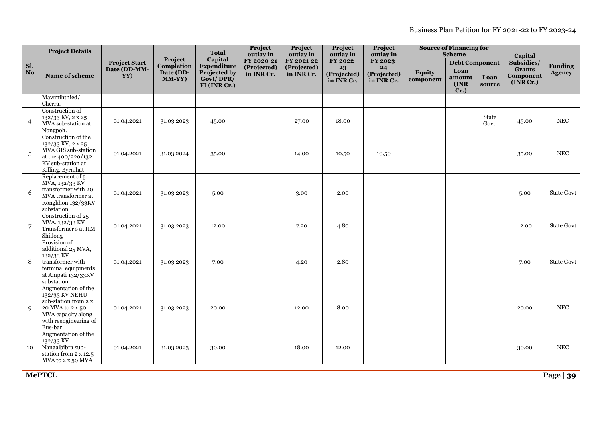Business Plan Petition for FY 2021-22 to FY 2023-24

|                | <b>Project Details</b>                                                                                                                      |                      |                       | <b>Total</b><br>Capital                   |                                        | Project<br>outlay in      | Project<br>outlay in      | Project<br>outlay in      |                            | <b>Source of Financing for</b><br><b>Scheme</b> |                | Capital                                 |                |
|----------------|---------------------------------------------------------------------------------------------------------------------------------------------|----------------------|-----------------------|-------------------------------------------|----------------------------------------|---------------------------|---------------------------|---------------------------|----------------------------|-------------------------------------------------|----------------|-----------------------------------------|----------------|
| Sl.            |                                                                                                                                             | <b>Project Start</b> | Project<br>Completion | Expenditure                               | outlay in<br>FY 2020-21<br>(Projected) | FY 2021-22<br>(Projected) | FY 2022-<br>23            | FY 2023-<br>24            |                            | <b>Debt Component</b>                           |                | Subsidies/                              | <b>Funding</b> |
| N <sub>o</sub> | Name of scheme                                                                                                                              | Date (DD-MM-<br>YY)  | Date (DD-<br>MM-YY)   | Projected by<br>Govt/DPR/<br>FI (INR Cr.) | in INR Cr.                             | in INR Cr.                | (Projected)<br>in INR Cr. | (Projected)<br>in INR Cr. | <b>Equity</b><br>component | Loan<br>amount<br>(INR<br>$Cr.$ )               | Loan<br>source | <b>Grants</b><br>Component<br>(INR Cr.) | <b>Agency</b>  |
|                | Mawmihthied/<br>Cherra.                                                                                                                     |                      |                       |                                           |                                        |                           |                           |                           |                            |                                                 |                |                                         |                |
| $\overline{4}$ | Construction of<br>132/33 KV, 2 x 25<br>MVA sub-station at<br>Nongpoh.                                                                      | 01.04.2021           | 31.03.2023            | 45.00                                     |                                        | 27.00                     | 18.00                     |                           |                            |                                                 | State<br>Govt. | 45.00                                   | $_{\rm NEC}$   |
| 5              | Construction of the<br>132/33 KV, 2 x 25<br>MVA GIS sub-station<br>at the 400/220/132<br>KV sub-station at<br>Killing, Byrnihat             | 01.04.2021           | 31.03.2024            | 35.00                                     |                                        | 14.00                     | 10.50                     | 10.50                     |                            |                                                 |                | 35.00                                   | $_{\rm NEC}$   |
| 6              | Replacement of 5<br>MVA, 132/33 KV<br>transformer with 20<br>MVA transformer at<br>Rongkhon 132/33KV<br>substation                          | 01.04.2021           | 31.03.2023            | 5.00                                      |                                        | 3.00                      | 2.00                      |                           |                            |                                                 |                | 5.00                                    | State Govt     |
| 7              | Construction of 25<br>MVA, 132/33 KV<br>Transformer s at IIM<br>Shillong                                                                    | 01.04.2021           | 31.03.2023            | 12.00                                     |                                        | 7.20                      | 4.80                      |                           |                            |                                                 |                | 12.00                                   | State Govt     |
| 8              | Provision of<br>additional 25 MVA,<br>132/33 KV<br>transformer with<br>terminal equipments<br>at Ampati 132/33KV<br>substation              | 01.04.2021           | 31.03.2023            | 7.00                                      |                                        | 4.20                      | 2.80                      |                           |                            |                                                 |                | 7.00                                    | State Govt     |
| 9              | Augmentation of the<br>132/33 KV NEHU<br>sub-station from 2 x<br>20 MVA to 2 x 50<br>MVA capacity along<br>with reengineering of<br>Bus-bar | 01.04.2021           | 31.03.2023            | 20.00                                     |                                        | 12.00                     | 8.00                      |                           |                            |                                                 |                | 20.00                                   | $_{\rm NEC}$   |
| 10             | Augmentation of the<br>132/33 KV<br>Nangalbibra sub-<br>station from 2 x 12.5<br>MVA to 2 x 50 MVA                                          | 01.04.2021           | 31.03.2023            | 30.00                                     |                                        | 18.00                     | 12.00                     |                           |                            |                                                 |                | 30.00                                   | <b>NEC</b>     |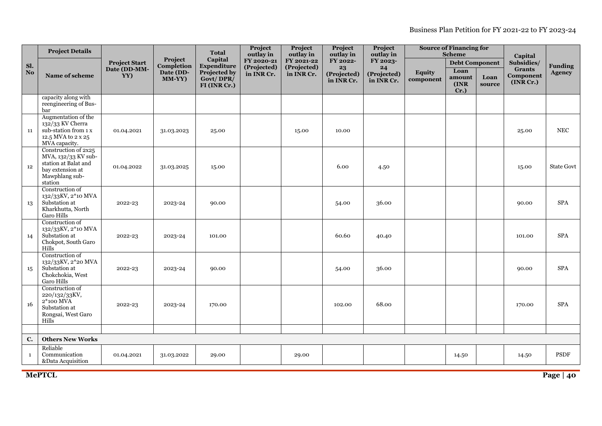|                | <b>Project Details</b>                                                                                               |                      | Project             | <b>Total</b>                             | Project<br>outlay in      | Project<br>outlay in      | Project<br>outlay in      | Project<br>outlay in      |                            | <b>Source of Financing for</b><br><b>Scheme</b> |                | Capital                                 |                   |
|----------------|----------------------------------------------------------------------------------------------------------------------|----------------------|---------------------|------------------------------------------|---------------------------|---------------------------|---------------------------|---------------------------|----------------------------|-------------------------------------------------|----------------|-----------------------------------------|-------------------|
| Sl.            |                                                                                                                      | <b>Project Start</b> | Completion          | Capital<br>Expenditure                   | FY 2020-21<br>(Projected) | FY 2021-22<br>(Projected) | FY 2022-<br>23            | FY 2023-<br>24            |                            | <b>Debt Component</b>                           |                | Subsidies/                              | <b>Funding</b>    |
| N <sub>o</sub> | Name of scheme                                                                                                       | Date (DD-MM-<br>YY)  | Date (DD-<br>MM-YY) | Projected by<br>Govt/DPR<br>FI (INR Cr.) | in INR Cr.                | in INR Cr.                | (Projected)<br>in INR Cr. | (Projected)<br>in INR Cr. | <b>Equity</b><br>component | Loan<br>amount<br>(INR)<br>$Cr.$ )              | Loan<br>source | <b>Grants</b><br>Component<br>(INR Cr.) | <b>Agency</b>     |
|                | capacity along with<br>reengineering of Bus-<br>bar                                                                  |                      |                     |                                          |                           |                           |                           |                           |                            |                                                 |                |                                         |                   |
| 11             | Augmentation of the<br>132/33 KV Cherra<br>sub-station from 1 x<br>12.5 MVA to 2 x 25<br>MVA capacity.               | 01.04.2021           | 31.03.2023          | 25.00                                    |                           | 15.00                     | 10.00                     |                           |                            |                                                 |                | 25.00                                   | <b>NEC</b>        |
| 12             | Construction of 2x25<br>MVA, 132/33 KV sub-<br>station at Balat and<br>bay extension at<br>Mawphlang sub-<br>station | 01.04.2022           | 31.03.2025          | 15.00                                    |                           |                           | 6.00                      | 4.50                      |                            |                                                 |                | 15.00                                   | <b>State Govt</b> |
| 13             | Construction of<br>132/33KV, 2*10 MVA<br>Substation at<br>Kharkhutta, North<br><b>Garo Hills</b>                     | 2022-23              | 2023-24             | 90.00                                    |                           |                           | 54.00                     | 36.00                     |                            |                                                 |                | 90.00                                   | <b>SPA</b>        |
| 14             | Construction of<br>132/33KV, 2*10 MVA<br>Substation at<br>Chokpot, South Garo<br><b>Hills</b>                        | 2022-23              | 2023-24             | 101.00                                   |                           |                           | 60.60                     | 40.40                     |                            |                                                 |                | 101.00                                  | <b>SPA</b>        |
| 15             | Construction of<br>132/33KV, 2*20 MVA<br>Substation at<br>Chokchokia, West<br><b>Garo Hills</b>                      | 2022-23              | 2023-24             | 90.00                                    |                           |                           | 54.00                     | 36.00                     |                            |                                                 |                | 90.00                                   | <b>SPA</b>        |
| 16             | Construction of<br>220/132/33KV,<br>2*100 MVA<br>Substation at<br>Rongsai, West Garo<br>Hills                        | 2022-23              | 2023-24             | 170.00                                   |                           |                           | 102.00                    | 68.00                     |                            |                                                 |                | 170.00                                  | <b>SPA</b>        |
|                |                                                                                                                      |                      |                     |                                          |                           |                           |                           |                           |                            |                                                 |                |                                         |                   |
| C.             | <b>Others New Works</b>                                                                                              |                      |                     |                                          |                           |                           |                           |                           |                            |                                                 |                |                                         |                   |
| $\mathbf{1}$   | Reliable<br>Communication<br>&Data Acquisition                                                                       | 01.04.2021           | 31.03.2022          | 29.00                                    |                           | 29.00                     |                           |                           |                            | 14.50                                           |                | 14.50                                   | PSDF              |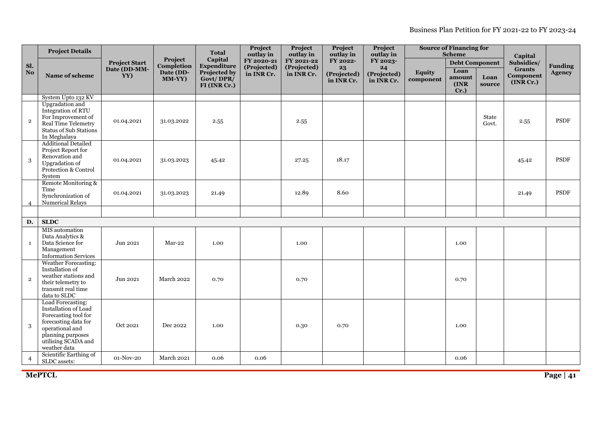Business Plan Petition for FY 2021-22 to FY 2023-24

|                | <b>Project Details</b>                                                                                                                                                   |                      |                            | <b>Total</b>                              | Project<br>outlay in      | Project<br>outlay in      | Project<br>outlay in            | Project<br>outlay in            |                            | <b>Source of Financing for</b><br><b>Scheme</b> |                | Capital                                 | <b>Funding</b> |
|----------------|--------------------------------------------------------------------------------------------------------------------------------------------------------------------------|----------------------|----------------------------|-------------------------------------------|---------------------------|---------------------------|---------------------------------|---------------------------------|----------------------------|-------------------------------------------------|----------------|-----------------------------------------|----------------|
| Sl.            |                                                                                                                                                                          | <b>Project Start</b> | Project<br>Completion      | Capital<br>Expenditure                    | FY 2020-21<br>(Projected) | FY 2021-22<br>(Projected) | FY 2022-                        | FY 2023-                        |                            | <b>Debt Component</b>                           |                | Subsidies/                              |                |
| N <sub>o</sub> | Name of scheme                                                                                                                                                           | Date (DD-MM-<br>YY)  | Date (DD-<br><b>MM-YY)</b> | Projected by<br>Govt/DPR/<br>FI (INR Cr.) | in INR Cr.                | in INR Cr.                | 23<br>(Projected)<br>in INR Cr. | 24<br>(Projected)<br>in INR Cr. | <b>Equity</b><br>component | Loan<br>amount<br>(INR<br>$Cr.$ )               | Loan<br>source | <b>Grants</b><br>Component<br>(INR Cr.) | <b>Agency</b>  |
|                | System Upto 132 KV                                                                                                                                                       |                      |                            |                                           |                           |                           |                                 |                                 |                            |                                                 |                |                                         |                |
| $\mathbf 2$    | Upgradation and<br>Integration of RTU<br>For Improvement of<br>Real Time Telemetry<br>Status of Sub Stations<br>In Meghalaya                                             | 01.04.2021           | 31.03.2022                 | 2.55                                      |                           | 2.55                      |                                 |                                 |                            |                                                 | State<br>Govt. | 2.55                                    | PSDF           |
| 3              | <b>Additional Detailed</b><br>Project Report for<br>Renovation and<br>Upgradation of<br>Protection & Control<br>System                                                   | 01.04.2021           | 31.03.2023                 | 45.42                                     |                           | 27.25                     | 18.17                           |                                 |                            |                                                 |                | 45.42                                   | PSDF           |
| 4              | Remote Monitoring &<br>Time<br>Synchronization of<br>Numerical Relays                                                                                                    | 01.04.2021           | 31.03.2023                 | 21.49                                     |                           | 12.89                     | 8.60                            |                                 |                            |                                                 |                | 21.49                                   | <b>PSDF</b>    |
|                |                                                                                                                                                                          |                      |                            |                                           |                           |                           |                                 |                                 |                            |                                                 |                |                                         |                |
| D.             | <b>SLDC</b>                                                                                                                                                              |                      |                            |                                           |                           |                           |                                 |                                 |                            |                                                 |                |                                         |                |
| $\mathbf{1}$   | MIS automation<br>Data Analytics &<br>Data Science for<br>Management<br><b>Information Services</b>                                                                      | Jun 2021             | Mar-22                     | 1.00                                      |                           | 1.00                      |                                 |                                 |                            | 1.00                                            |                |                                         |                |
| $\mathbf{2}$   | <b>Weather Forecasting:</b><br>Installation of<br>weather stations and<br>their telemetry to<br>transmit real time<br>data to SLDC                                       | Jun 2021             | March 2022                 | 0.70                                      |                           | 0.70                      |                                 |                                 |                            | 0.70                                            |                |                                         |                |
| 3              | Load Forecasting:<br>Installation of Load<br>Forecasting tool for<br>forecasting data for<br>operational and<br>planning purposes<br>utilising SCADA and<br>weather data | Oct $2021\,$         | Dec 2022                   | 1.00                                      |                           | 0.30                      | 0.70                            |                                 |                            | 1.00                                            |                |                                         |                |
| 4              | Scientific Earthing of<br>SLDC assets:                                                                                                                                   | 01-Nov-20            | <b>March 2021</b>          | 0.06                                      | 0.06                      |                           |                                 |                                 |                            | 0.06                                            |                |                                         |                |